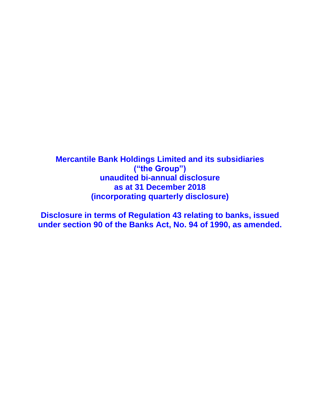**Mercantile Bank Holdings Limited and its subsidiaries ("the Group") unaudited bi-annual disclosure as at 31 December 2018 (incorporating quarterly disclosure)**

**Disclosure in terms of Regulation 43 relating to banks, issued under section 90 of the Banks Act, No. 94 of 1990, as amended.**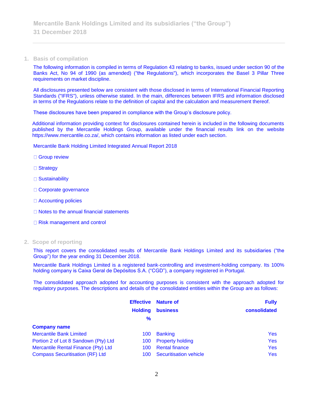#### **1. Basis of compilation**

The following information is compiled in terms of Regulation 43 relating to banks, issued under section 90 of the Banks Act, No 94 of 1990 (as amended) ("the Regulations"), which incorporates the Basel 3 Pillar Three requirements on market discipline.

All disclosures presented below are consistent with those disclosed in terms of International Financial Reporting Standards ("IFRS"), unless otherwise stated. In the main, differences between IFRS and information disclosed in terms of the Regulations relate to the definition of capital and the calculation and measurement thereof.

These disclosures have been prepared in compliance with the Group's disclosure policy.

Additional information providing context for disclosures contained herein is included in the following documents published by the Mercantile Holdings Group, available under the financial results link on the website https://www.mercantile.co.za/, which contains information as listed under each section.

Mercantile Bank Holding Limited Integrated Annual Report 2018

- □ Group review
- □ Strategy
- □ Sustainability
- □ Corporate governance
- □ Accounting policies
- $\Box$  Notes to the annual financial statements
- □ Risk management and control

#### **2. Scope of reporting**

This report covers the consolidated results of Mercantile Bank Holdings Limited and its subsidiaries ("the Group") for the year ending 31 December 2018.

Mercantile Bank Holdings Limited is a registered bank-controlling and investment-holding company. Its 100% holding company is Caixa Geral de Depósitos S.A. ("CGD"), a company registered in Portugal.

The consolidated approach adopted for accounting purposes is consistent with the approach adopted for regulatory purposes. The descriptions and details of the consolidated entities within the Group are as follows:

|                                        | <b>Effective</b> | <b>Nature of</b>              | <b>Fully</b> |
|----------------------------------------|------------------|-------------------------------|--------------|
|                                        | <b>Holding</b>   | <b>business</b>               | consolidated |
|                                        | $\%$             |                               |              |
| <b>Company name</b>                    |                  |                               |              |
| <b>Mercantile Bank Limited</b>         | 100              | <b>Banking</b>                | <b>Yes</b>   |
| Portion 2 of Lot 8 Sandown (Pty) Ltd   | 100              | <b>Property holding</b>       | <b>Yes</b>   |
| Mercantile Rental Finance (Pty) Ltd    | 100              | <b>Rental finance</b>         | <b>Yes</b>   |
| <b>Compass Securitisation (RF) Ltd</b> | 100              | <b>Securitisation vehicle</b> | <b>Yes</b>   |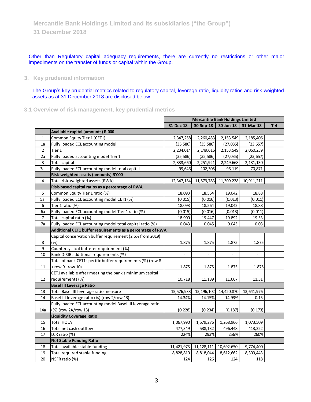Other than Regulatory capital adequacy requirements, there are currently no restrictions or other major impediments on the transfer of funds or capital within the Group.

### **3. Key prudential information**

The Group's key prudential metrics related to regulatory capital, leverage ratio, liquidity ratios and risk weighted assets as at 31 December 2018 are disclosed below.

**3.1 Overview of risk management, key prudential metrics**

|                |                                                            | <b>Mercantile Bank Holdings Limited</b> |              |                          |                |       |
|----------------|------------------------------------------------------------|-----------------------------------------|--------------|--------------------------|----------------|-------|
|                |                                                            | 31-Dec-18                               | 30-Sep-18    | 30-Jun-18                | 31-Mar-18      | $T-4$ |
|                | Available capital (amounts) R'000                          |                                         |              |                          |                |       |
| $\mathbf 1$    | Common Equity Tier 1 (CET1)                                | 2,347,258                               | 2,260,483    | 2,153,549                | 2,185,406      |       |
| 1a             | Fully loaded ECL accounting model                          | (35, 586)                               | (35, 586)    | (27, 035)                | (23, 657)      |       |
| $\overline{2}$ | Tier 1                                                     | 2,234,014                               | 2,149,616    | 2,153,549                | 2,060,259      |       |
| 2a             | Fully loaded accounting model Tier 1                       | (35, 586)                               | (35, 586)    | (27, 035)                | (23, 657)      |       |
| 3              | <b>Total capital</b>                                       | 2,333,660                               | 2,251,921    | 2,249,668                | 2,131,130      |       |
| За             | Fully loaded ECL accounting model total capital            | 99,646                                  | 102,305      | 96,119                   | 70,871         |       |
|                | Risk-weighted assets (amounts) R'000                       |                                         |              |                          |                |       |
| 4              | Total risk-weighted assets (RWA)                           | 12,347,184                              | 11,579,783   | 11,309,228               | 10,911,211     |       |
|                | Risk-based capital ratios as a percentage of RWA           |                                         |              |                          |                |       |
| 5              | Common Equity Tier 1 ratio (%)                             | 18.093                                  | 18.564       | 19.042                   | 18.88          |       |
| 5a             | Fully loaded ECL accounting model CET1 (%)                 | (0.015)                                 | (0.016)      | (0.013)                  | (0.011)        |       |
| 6              | Tier 1 ratio (%)                                           | 18.093                                  | 18.564       | 19.042                   | 18.88          |       |
| 6a             | Fully loaded ECL accounting model Tier 1 ratio (%)         | (0.015)                                 | (0.016)      | (0.013)                  | (0.011)        |       |
| $\overline{7}$ | Total capital ratio (%)                                    | 18.900                                  | 19.447       | 19.892                   | 19.53          |       |
| 7a             | Fully loaded ECL accounting model total capital ratio (%)  | 0.043                                   | 0.045        | 0.043                    | 0.03           |       |
|                | Additional CET1 buffer requirements as a percentage of RWA |                                         |              |                          |                |       |
|                | Capital conservation buffer requirement (2.5% from 2019)   |                                         |              |                          |                |       |
| 8              | (%)                                                        | 1.875                                   | 1.875        | 1.875                    | 1.875          |       |
| 9              | Countercyclical bufferer requirement (%)                   | $\blacksquare$                          | $\Box$       | $\equiv$                 | $\blacksquare$ |       |
| 10             | Bank D-SIB additional requirements (%)                     | $\overline{\phantom{a}}$                | $\sim$       | $\overline{\phantom{a}}$ | ÷,             |       |
|                | Total of bank CET1 specific buffer requirements (%) (row 8 |                                         |              |                          |                |       |
| 11             | + row 9+ row 10)                                           | 1.875                                   | 1.875        | 1.875                    | 1.875          |       |
|                | CET1 available after meeting the bank's minimum capital    |                                         |              |                          |                |       |
| 12             | requirements (%)                                           | 10.718                                  | 11.189       | 11.667                   | 11.51          |       |
|                | <b>Basel III Leverage Ratio</b>                            |                                         |              |                          |                |       |
| 13             | Total Basel III leverage ratio measure                     | 15,576,933                              | 15, 196, 102 | 14,420,870               | 13,641,976     |       |
| 14             | Basel III leverage ratio (%) (row 2/row 13)                | 14.34%                                  | 14.15%       | 14.93%                   | 0.15           |       |
|                | Fully loaded ECL accounting model Basel III leverage ratio |                                         |              |                          |                |       |
| 14a            | (%) (row 2A/row 13)                                        | (0.228)                                 | (0.234)      | (0.187)                  | (0.173)        |       |
|                | <b>Liquidity Coverage Ratio</b>                            |                                         |              |                          |                |       |
| 15             | <b>Total HQLA</b>                                          | 1,067,990                               | 1,579,276    | 1,268,966                | 1,073,509      |       |
| 16             | Total net cash outflow                                     | 477,349                                 | 538,132      | 496,448                  | 413,222        |       |
| 17             | LCR ratio (%)                                              | 224%                                    | 293%         | 256%                     | 260%           |       |
|                | <b>Net Stable Funding Ratio</b>                            |                                         |              |                          |                |       |
| 18             | Total available stable funding                             | 11,421,973                              | 11,128,111   | 10,692,650               | 9,774,400      |       |
| 19             | Total required stable funding                              | 8,828,810                               | 8,818,044    | 8,612,662                | 8,309,443      |       |
| 20             | NSFR ratio (%)                                             | 124                                     | 126          | 124                      | 118            |       |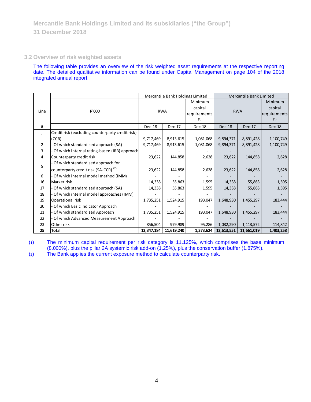### **3.2 Overview of risk weighted assets**

The following table provides an overview of the risk weighted asset requirements at the respective reporting date. The detailed qualitative information can be found under Capital Management on page 104 of the 2018 integrated annual report.

|                |                                                  | Mercantile Bank Holdings Limited |            | Mercantile Bank Limited |               |            |               |
|----------------|--------------------------------------------------|----------------------------------|------------|-------------------------|---------------|------------|---------------|
|                |                                                  |                                  |            | Minimum                 |               |            | Minimum       |
|                |                                                  |                                  |            | capital                 |               |            | capital       |
| Line           | R'000                                            | <b>RWA</b>                       |            | requirements            | <b>RWA</b>    |            | requirements  |
|                |                                                  |                                  |            | (1)                     |               |            | (1)           |
| #              |                                                  | Dec-18                           | $Dec-17$   | Dec-18                  | <b>Dec-18</b> | Dec-17     | <b>Dec-18</b> |
|                | Credit risk (excluding counterparty credit risk) |                                  |            |                         |               |            |               |
| $\mathbf{1}$   | (CCR)                                            | 9,717,469                        | 8,913,615  | 1,081,068               | 9,894,371     | 8,891,428  | 1,100,749     |
| $\overline{2}$ | Of which standardised approach (SA)              | 9,717,469                        | 8,913,615  | 1,081,068               | 9,894,371     | 8,891,428  | 1,100,749     |
| 3              | Of which internal rating-based (IRB) approach    |                                  |            |                         |               |            |               |
| 4              | Counterparty credit risk                         | 23,622                           | 144,858    | 2,628                   | 23,622        | 144,858    | 2,628         |
|                | Of which standardised approach for               |                                  |            |                         |               |            |               |
| 5              | counterparty credit risk (SA-CCR) <sup>(2)</sup> | 23,622                           | 144,858    | 2,628                   | 23,622        | 144,858    | 2,628         |
| 6              | Of which internal model method (IMM)             |                                  |            |                         |               |            |               |
| 16             | Market risk                                      | 14,338                           | 55,863     | 1,595                   | 14,338        | 55,863     | 1,595         |
| 17             | Of which standardised approach (SA)              | 14,338                           | 55,863     | 1,595                   | 14,338        | 55,863     | 1,595         |
| 18             | Of which internal model approaches (IMM)         |                                  |            |                         |               |            |               |
| 19             | Operational risk                                 | 1,735,251                        | 1,524,915  | 193,047                 | 1,648,930     | 1,455,297  | 183,444       |
| 20             | Of which Basic Indicator Approach                |                                  |            |                         |               |            |               |
| 21             | Of which standardised Approach                   | 1,735,251                        | 1,524,915  | 193,047                 | 1,648,930     | 1,455,297  | 183,444       |
| 22             | Of which Advanced Measurement Approach           |                                  |            |                         |               |            |               |
| 23             | Other risk                                       | 856,504                          | 979,989    | 95,286                  | 1,032,290     | 1,113,572  | 114,842       |
| 25             | Total                                            | 12,347,184                       | 11,619,240 | 1,373,624               | 12,613,551    | 11,661,019 | 1,403,258     |

(1) The minimum capital requirement per risk category is 11.125%, which comprises the base minimum (8.000%), plus the pillar 2A systemic risk add-on (1.25%), plus the conservation buffer (1.875%).

(2) The Bank applies the current exposure method to calculate counterparty risk.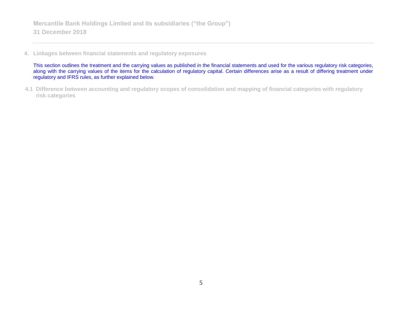**4. Linkages between financial statements and regulatory exposures**

This section outlines the treatment and the carrying values as published in the financial statements and used for the various regulatory risk categories, along with the carrying values of the items for the calculation of regulatory capital. Certain differences arise as a result of differing treatment under regulatory and IFRS rules, as further explained below.

**4.1 Difference between accounting and regulatory scopes of consolidation and mapping of financial categories with regulatory risk categories**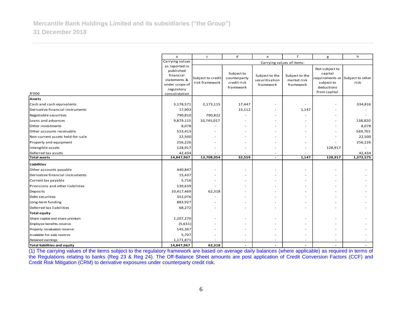|                                  | a                                                                                                         | d<br>f<br>$\mathsf{c}$<br>e<br>g    |                                                        |                                               |                                            |                                                                                                           | h         |
|----------------------------------|-----------------------------------------------------------------------------------------------------------|-------------------------------------|--------------------------------------------------------|-----------------------------------------------|--------------------------------------------|-----------------------------------------------------------------------------------------------------------|-----------|
|                                  | Carrying values                                                                                           |                                     |                                                        |                                               | Carrying values of items:                  |                                                                                                           |           |
| R'000                            | as reported in<br>published<br>financial<br>statements &<br>under scope of<br>regulatory<br>consolidation | Subject to credit<br>risk framework | Subject to<br>counterparty<br>credit risk<br>framework | Subject to the<br>securitisation<br>framework | Subject to the<br>market risk<br>framework | Not subject to<br>capital<br>requirements or Subject to other<br>subject to<br>deductions<br>from capital | risk      |
| Assets                           |                                                                                                           |                                     |                                                        |                                               |                                            |                                                                                                           |           |
| Cash and cash equivalents        | 3,178,571                                                                                                 | 2,173,115                           | 17,447                                                 |                                               |                                            |                                                                                                           | 334,816   |
| Derivative financial instruments | 17,903                                                                                                    |                                     | 15,112                                                 |                                               | 1,147                                      |                                                                                                           |           |
| Negotiable securities            | 790,810                                                                                                   | 790,822                             |                                                        |                                               |                                            |                                                                                                           |           |
| Loans and advances               | 9,879,115                                                                                                 | 10,745,017                          |                                                        |                                               |                                            |                                                                                                           | 138,820   |
| Other investments                | 8,078                                                                                                     |                                     |                                                        |                                               |                                            |                                                                                                           | 8,078     |
| Other accounts receivable        | 523,413                                                                                                   |                                     |                                                        |                                               |                                            |                                                                                                           | 569,701   |
| Non-current assets held-for-sale | 22,500                                                                                                    |                                     |                                                        |                                               |                                            |                                                                                                           | 22,500    |
| Property and equipment           | 256,226                                                                                                   |                                     |                                                        |                                               |                                            |                                                                                                           | 256,226   |
| Intangible assets                | 128,917                                                                                                   |                                     |                                                        |                                               | $\overline{\phantom{a}}$                   | 128,917                                                                                                   |           |
| Deferred tax assets              | 42,434                                                                                                    |                                     |                                                        |                                               |                                            |                                                                                                           | 42,434    |
| Total assets                     | 14,847,967                                                                                                | 13,708,954                          | 32,559                                                 | $\overline{\phantom{a}}$                      | 1,147                                      | 128,917                                                                                                   | 1,372,575 |
| Liabilities                      |                                                                                                           |                                     |                                                        |                                               |                                            |                                                                                                           |           |
| Other accounts payable           | 440,847                                                                                                   |                                     |                                                        |                                               |                                            |                                                                                                           |           |
| Derivative financial instruments | 15,437                                                                                                    |                                     |                                                        |                                               |                                            |                                                                                                           |           |
| Current tax payable              | 5,716                                                                                                     |                                     |                                                        |                                               |                                            |                                                                                                           |           |
| Provisions and other liabilities | 139,639                                                                                                   |                                     |                                                        |                                               |                                            |                                                                                                           |           |
| Deposits                         | 10,417,469                                                                                                | 62,318                              |                                                        |                                               |                                            |                                                                                                           |           |
| Debt securities                  | 352,076                                                                                                   |                                     |                                                        |                                               |                                            |                                                                                                           |           |
| Long-term funding                | 883,927                                                                                                   |                                     |                                                        |                                               |                                            |                                                                                                           |           |
| Deferred tax liabilities         | 68,272                                                                                                    | $\overline{\phantom{a}}$            |                                                        |                                               | $\overline{\phantom{a}}$                   |                                                                                                           |           |
| Total equity                     |                                                                                                           |                                     |                                                        |                                               |                                            |                                                                                                           |           |
| Share capital and share premium  | 1,207,270                                                                                                 |                                     |                                                        |                                               |                                            |                                                                                                           |           |
| Employee benefits reserve        | (5,631)                                                                                                   |                                     |                                                        |                                               |                                            |                                                                                                           |           |
| Property revaluation reserve     | 145,367                                                                                                   |                                     |                                                        |                                               |                                            |                                                                                                           |           |
| Available-for-sale reserve       | 5,707                                                                                                     |                                     |                                                        |                                               |                                            |                                                                                                           |           |
| Retained earnings                | 1,171,871                                                                                                 |                                     |                                                        |                                               |                                            |                                                                                                           |           |
| Total liabilities and equity     | 14,847,967                                                                                                | 62,318                              |                                                        |                                               |                                            |                                                                                                           |           |

(1) The carrying values of the items subject to the regulatory framework are based on average daily balances (where applicable) as required in terms of the Regulations relating to banks (Reg 23 & Reg 24). The Off-Balance Sheet amounts are post application of Credit Conversion Factors (CCF) and Credit Risk Mitigation (CRM) to derivative exposures under counterparty credit risk.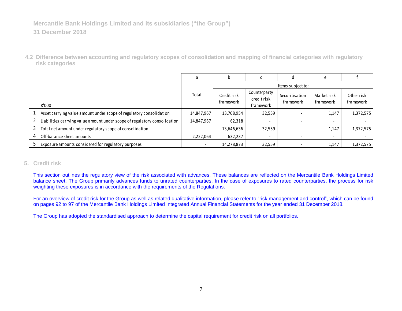**4.2 Difference between accounting and regulatory scopes of consolidation and mapping of financial categories with regulatory risk categories**

|   |                                                                           | a                        |                          |                                          |                             |                          |                         |
|---|---------------------------------------------------------------------------|--------------------------|--------------------------|------------------------------------------|-----------------------------|--------------------------|-------------------------|
|   |                                                                           |                          |                          |                                          | Items subject to:           |                          |                         |
|   | R'000                                                                     | Total                    | Credit risk<br>framework | Counterparty<br>credit risk<br>framework | Securitisation<br>framework | Market risk<br>framework | Other risk<br>framework |
|   | Asset carrying value amount under scope of regulatory consolidation       | 14,847,967               | 13,708,954               | 32,559                                   |                             | 1,147                    | 1,372,575               |
|   | Liabilities carrying value amount under scope of regulatory consolidation | 14,847,967               | 62,318                   | -                                        |                             |                          |                         |
|   | Total net amount under regulatory scope of consolidation                  | $\overline{\phantom{a}}$ | 13,646,636               | 32,559                                   |                             | 1,147                    | 1,372,575               |
| 4 | Off-balance sheet amounts                                                 | 2,222,064                | 632,237                  | $\overline{\phantom{0}}$                 |                             |                          |                         |
|   | Exposure amounts considered for regulatory purposes                       | $\overline{\phantom{a}}$ | 14,278,873               | 32,559                                   |                             | 1,147                    | 1,372,575               |

### **5. Credit risk**

This section outlines the regulatory view of the risk associated with advances. These balances are reflected on the Mercantile Bank Holdings Limited balance sheet. The Group primarily advances funds to unrated counterparties. In the case of exposures to rated counterparties, the process for risk weighting these exposures is in accordance with the requirements of the Regulations.

For an overview of credit risk for the Group as well as related qualitative information, please refer to "risk management and control", which can be found on pages 92 to 97 of the Mercantile Bank Holdings Limited Integrated Annual Financial Statements for the year ended 31 December 2018.

The Group has adopted the standardised approach to determine the capital requirement for credit risk on all portfolios.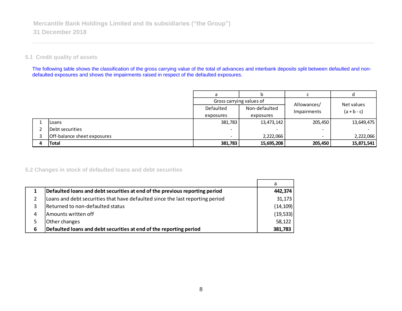### **5.1 Credit quality of assets**

The following table shows the classification of the gross carrying value of the total of advances and interbank deposits split between defaulted and nondefaulted exposures and shows the impairments raised in respect of the defaulted exposures.

|                             | a                        | b             |             |               |
|-----------------------------|--------------------------|---------------|-------------|---------------|
|                             | Gross carrying values of |               | Allowances/ | Net values    |
|                             | Defaulted                | Non-defaulted | Impairments | $(a + b - c)$ |
|                             | exposures                | exposures     |             |               |
| ILoans                      | 381,783                  | 13,473,142    | 205,450     | 13,649,475    |
| lDebt securities            |                          | -             | -           |               |
| Off-balance sheet exposures |                          | 2,222,066     | -           | 2,222,066     |
| <b>Total</b>                | 381,783                  | 15,695,208    | 205,450     | 15,871,541    |

### **5.2 Changes in stock of defaulted loans and debt securities**

|   |                                                                               | a         |
|---|-------------------------------------------------------------------------------|-----------|
|   | Defaulted loans and debt securities at end of the previous reporting period   | 442,374   |
|   | Loans and debt securities that have defaulted since the last reporting period | 31,173    |
| 3 | Returned to non-defaulted status                                              | (14, 109) |
| 4 | Amounts written off                                                           | (19, 533) |
|   | Other changes                                                                 | 58,122    |
| 6 | Defaulted loans and debt securities at end of the reporting period            | 381,783   |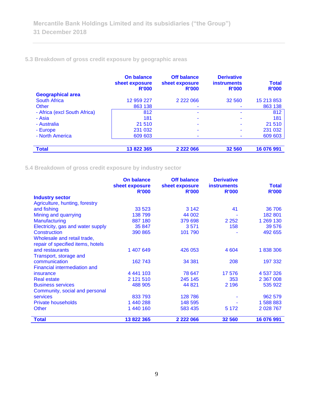# **5.3 Breakdown of gross credit exposure by geographic areas**

|                              | <b>On balance</b><br>sheet exposure<br><b>R'000</b> | <b>Off balance</b><br>sheet exposure<br><b>R'000</b> | <b>Derivative</b><br><b>instruments</b><br><b>R'000</b> | <b>Total</b><br><b>R'000</b> |
|------------------------------|-----------------------------------------------------|------------------------------------------------------|---------------------------------------------------------|------------------------------|
| <b>Geographical area</b>     |                                                     |                                                      |                                                         |                              |
| <b>South Africa</b>          | 12 959 227                                          | 2 2 2 0 6 6                                          | 32 560                                                  | 15 213 853                   |
| Other                        | 863 138                                             |                                                      |                                                         | 863 138                      |
| - Africa (excl South Africa) | 812                                                 | ۰                                                    | ۰                                                       | 812                          |
| - Asia                       | 181                                                 |                                                      |                                                         | 181                          |
| - Australia                  | 21 510                                              | ۰                                                    |                                                         | 21 510                       |
| - Europe                     | 231 032                                             |                                                      |                                                         | 231 032                      |
| - North America              | 609 603                                             |                                                      |                                                         | 609 603                      |
|                              |                                                     |                                                      |                                                         |                              |
| <b>Total</b>                 | 13 822 365                                          | 2 2 2 0 6 6                                          | 32 560                                                  | 16 076 991                   |

**5.4 Breakdown of gross credit exposure by industry sector**

|                                     | <b>On balance</b>              | <b>Off balance</b>             | <b>Derivative</b>                  |                              |
|-------------------------------------|--------------------------------|--------------------------------|------------------------------------|------------------------------|
|                                     | sheet exposure<br><b>R'000</b> | sheet exposure<br><b>R'000</b> | <b>instruments</b><br><b>R'000</b> | <b>Total</b><br><b>R'000</b> |
| <b>Industry sector</b>              |                                |                                |                                    |                              |
| Agriculture, hunting, forestry      |                                |                                |                                    |                              |
| and fishing                         | 33 5 23                        | 3 1 4 2                        | 41                                 | 36 706                       |
| Mining and quarrying                | 138 799                        | 44 002                         |                                    | 182 801                      |
| Manufacturing                       | 887 180                        | 379 698                        | 2 2 5 2                            | 1 269 130                    |
| Electricity, gas and water supply   | 35 847                         | 3571                           | 158                                | 39 576                       |
| <b>Construction</b>                 | 390 865                        | 101 790                        |                                    | 492 655                      |
| Wholesale and retail trade,         |                                |                                |                                    |                              |
| repair of specified items, hotels   |                                |                                |                                    |                              |
| and restaurants                     | 1 407 649                      | 426 053                        | 4 604                              | 1838306                      |
| Transport, storage and              |                                |                                |                                    |                              |
| communication                       | 162 743                        | 34 381                         | 208                                | 197 332                      |
| <b>Financial intermediation and</b> |                                |                                |                                    |                              |
| insurance                           | 4 441 103                      | 78 647                         | 17 576                             | 4 537 326                    |
| <b>Real estate</b>                  | 2 121 510                      | 245 145                        | 353                                | 2 367 008                    |
| <b>Business services</b>            | 488 905                        | 44 821                         | 2 1 9 6                            | 535 922                      |
| Community, social and personal      |                                |                                |                                    |                              |
| <b>services</b>                     | 833 793                        | 128 786                        |                                    | 962 579                      |
| <b>Private households</b>           | 1 440 288                      | 148 595                        |                                    | 1 588 883                    |
| <b>Other</b>                        | 1 440 160                      | 583 435                        | 5 1 7 2                            | 2 0 28 7 6 7                 |
|                                     |                                |                                |                                    |                              |
| <b>Total</b>                        | 13 822 365                     | 2 2 2 0 6 6                    | 32 560                             | 16 076 991                   |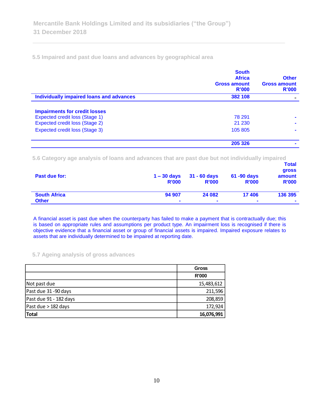**5.5 Impaired and past due loans and advances by geographical area**

|                                          | <b>South</b><br><b>Africa</b><br><b>Gross amount</b><br>R'000 | <b>Other</b><br><b>Gross amount</b><br><b>R'000</b> |
|------------------------------------------|---------------------------------------------------------------|-----------------------------------------------------|
| Individually impaired loans and advances | 382 108                                                       |                                                     |
| <b>Impairments for credit losses</b>     |                                                               |                                                     |
| <b>Expected credit loss (Stage 1)</b>    | 78 291                                                        |                                                     |
| Expected credit loss (Stage 2)           | 21 230                                                        |                                                     |
| Expected credit loss (Stage 3)           | 105 805                                                       |                                                     |
|                                          | 205 326                                                       |                                                     |

**5.6 Category age analysis of loans and advances that are past due but not individually impaired** 

| Past due for:       | $1 - 30$ days<br><b>R'000</b> | $31 - 60$ days<br><b>R'000</b> | 61 -90 days<br><b>R'000</b> | <b>Total</b><br>gross<br>amount<br><b>R'000</b> |
|---------------------|-------------------------------|--------------------------------|-----------------------------|-------------------------------------------------|
| <b>South Africa</b> | 94 907                        | 24 082                         | 17406                       | 136 395                                         |
| <b>Other</b>        | $\blacksquare$                | $\blacksquare$                 | $\mathbf{r}$                | ۰                                               |

A financial asset is past due when the counterparty has failed to make a payment that is contractually due; this is based on appropriate rules and assumptions per product type. An impairment loss is recognised if there is objective evidence that a financial asset or group of financial assets is impaired. Impaired exposure relates to assets that are individually determined to be impaired at reporting date.

### **5.7 Ageing analysis of gross advances**

|                        | <b>Gross</b> |
|------------------------|--------------|
|                        | <b>R'000</b> |
| Not past due           | 15,483,612   |
| Past due 31-90 days    | 211,596      |
| Past due 91 - 182 days | 208,859      |
| Past due $>$ 182 days  | 172,924      |
| Total                  | 16,076,991   |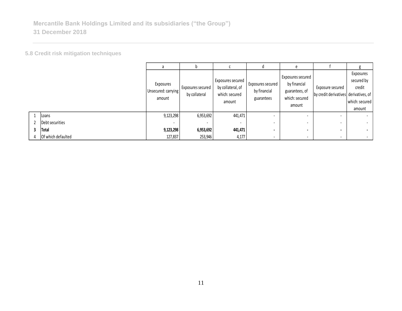**5.8 Credit risk mitigation techniques**

|   |                    | a                                          | IJ                                 |                                                                    | α                                               | e                                                                               |                                                           |                                                               |
|---|--------------------|--------------------------------------------|------------------------------------|--------------------------------------------------------------------|-------------------------------------------------|---------------------------------------------------------------------------------|-----------------------------------------------------------|---------------------------------------------------------------|
|   |                    | Exposures<br>Unsecured: carrying<br>amount | Exposures secured<br>by collateral | Exposures secured<br>by collateral, of<br>which: secured<br>amount | Exposures secured<br>by financial<br>guarantees | Exposures secured<br>by financial<br>guarantees, of<br>which: secured<br>amount | Exposure secured<br>by credit derivatives derivatives, of | Exposures<br>secured by<br>credit<br>which: secured<br>amount |
|   | Loans              | 9,123,298                                  | 6,953,692                          | 441,471                                                            |                                                 | $\,$ –                                                                          |                                                           | $\sim$                                                        |
|   | Debt securities    | . .                                        |                                    | $\overline{\phantom{a}}$                                           |                                                 |                                                                                 |                                                           | $\sim$                                                        |
| 3 | Total              | 9,123,298                                  | 6,953,692                          | 441,471                                                            | $\blacksquare$                                  | $\overline{\phantom{a}}$                                                        | $\blacksquare$                                            |                                                               |
|   | Of which defaulted | 127,837                                    | 253,946                            | 4,177                                                              | $\sim$                                          | $\,$ –                                                                          | $\sim$                                                    | $\sim$                                                        |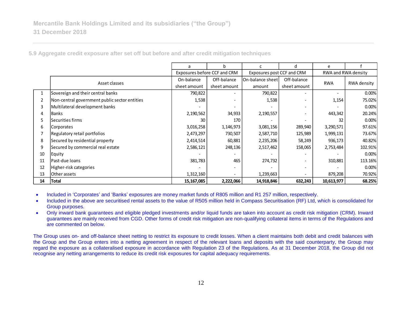| 5.9 Aggregate credit exposure after set off but before and after credit mitigation techniques |  |  |  |
|-----------------------------------------------------------------------------------------------|--|--|--|
|                                                                                               |  |  |  |

|                |                                               | a                            | h            |                            | d.           | e                   |             |  |
|----------------|-----------------------------------------------|------------------------------|--------------|----------------------------|--------------|---------------------|-------------|--|
|                |                                               | Exposures before CCF and CRM |              | Exposures post CCF and CRM |              | RWA and RWA density |             |  |
|                | Asset classes                                 | On-balance                   | Off-balance  | <b>IOn-balance sheet</b>   | Off-balance  | <b>RWA</b>          | RWA density |  |
|                |                                               | sheet amount                 | sheet amount | amount                     | sheet amount |                     |             |  |
| 1              | Sovereign and their central banks             | 790,822                      |              | 790,822                    |              | ۰.                  | 0.00%       |  |
| $\overline{2}$ | Non-central government public sector entities | 1,538                        |              | 1,538                      |              | 1,154               | 75.02%      |  |
| 3              | Multilateral development banks                |                              |              |                            |              |                     | 0.00%       |  |
| 4              | <b>Banks</b>                                  | 2,190,562                    | 34,933       | 2,190,557                  |              | 443,342             | 20.24%      |  |
| 5              | Securities firms                              | 30                           | 170          |                            |              | 32                  | 0.00%       |  |
| 6              | Corporates                                    | 3,016,258                    | 1,146,973    | 3,081,156                  | 289,940      | 3,290,571           | 97.61%      |  |
|                | Regulatory retail portfolios                  | 2,473,297                    | 730,507      | 2,587,710                  | 125,989      | 1,999,131           | 73.67%      |  |
| 8              | Secured by residential property               | 2,414,514                    | 60,881       | 2,235,206                  | 58,249       | 936,173             | 40.82%      |  |
| 9              | Secured by commercial real estate             | 2,586,121                    | 248,136      | 2,517,462                  | 158,065      | 2,753,484           | 102.91%     |  |
| 10             | Equity                                        |                              |              |                            |              |                     | 0.00%       |  |
| 11             | Past-due loans                                | 381,783                      | 465          | 274,732                    |              | 310,881             | 113.16%     |  |
| 12             | Higher-risk categories                        |                              |              |                            |              |                     | 0.00%       |  |
| 13             | Other assets                                  | 1,312,160                    |              | 1,239,663                  |              | 879,208             | 70.92%      |  |
| 14             | Total                                         | 15,167,085                   | 2,222,066    | 14,918,846                 | 632,243      | 10,613,977          | 68.25%      |  |

• Included in 'Corporates' and 'Banks' exposures are money market funds of R805 million and R1 257 million, respectively.

- Included in the above are securitised rental assets to the value of R505 million held in Compass Securitisation (RF) Ltd, which is consolidated for Group purposes.
- Only inward bank guarantees and eligible pledged investments and/or liquid funds are taken into account as credit risk mitigation (CRM). Inward guarantees are mainly received from CGD. Other forms of credit risk mitigation are non-qualifying collateral items in terms of the Regulations and are commented on below.

The Group uses on- and off-balance sheet netting to restrict its exposure to credit losses. When a client maintains both debit and credit balances with the Group and the Group enters into a netting agreement in respect of the relevant loans and deposits with the said counterparty, the Group may regard the exposure as a collateralised exposure in accordance with Regulation 23 of the Regulations. As at 31 December 2018, the Group did not recognise any netting arrangements to reduce its credit risk exposures for capital adequacy requirements.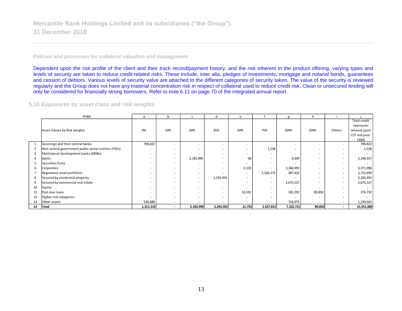#### **Policies and processes for collateral valuation and management**

Dependent upon the risk profile of the client and their track record/payment history, and the risk inherent in the product offering, varying types and levels of security are taken to reduce credit-related risks. These include, inter alia, pledges of investments, mortgage and notarial bonds, guarantees and cession of debtors. Various levels of security value are attached to the different categories of security taken. The value of the security is reviewed regularly and the Group does not have any material concentration risk in respect of collateral used to reduce credit risk. Clean or unsecured lending will only be considered for financially strong borrowers. Refer to note 6.11 on page 70 of the integrated annual report.

#### **5.10 Exposures by asset class and risk weights**

|                       | R'000                                                | a                        | b                        | C                        | d         | e                        |                          | g         | h      |        |               |
|-----------------------|------------------------------------------------------|--------------------------|--------------------------|--------------------------|-----------|--------------------------|--------------------------|-----------|--------|--------|---------------|
|                       |                                                      |                          |                          |                          |           |                          |                          |           |        |        | Total credit  |
|                       |                                                      |                          |                          |                          |           |                          |                          |           |        |        | exposures     |
|                       | Asset classes by Risk weights                        | 0%                       | 10%                      | 20%                      | 35%       | 50%                      | 75%                      | 100%      | 150%   | Others | amount (post  |
|                       |                                                      |                          |                          |                          |           |                          |                          |           |        |        | CCF and post- |
|                       |                                                      |                          |                          |                          |           |                          |                          |           |        |        | CRM)          |
| -1                    | Sovereign and their central banks                    | 790,822                  |                          |                          | $\sim$    |                          |                          |           |        | . .    | 790,822       |
| $\overline{2}$        | Non-central government public sector entities (PSEs) |                          | $\overline{\phantom{a}}$ | ۰                        | ۰.        |                          | 1,538                    | $\sim$    |        | $\sim$ | 1,538         |
| 3                     | Multilateral development banks (MDBs)                | $\overline{\phantom{a}}$ | $\sim$                   |                          | ۰         |                          |                          |           |        | $\sim$ |               |
| $\boldsymbol{\Delta}$ | Banks                                                | $\overline{\phantom{a}}$ | $\overline{\phantom{a}}$ | 2,183,990                | ۰         | 58                       | $\overline{\phantom{a}}$ | 6,509     |        | $\sim$ | 2,190,557     |
|                       | Securities firms                                     | $\overline{\phantom{a}}$ | $\overline{\phantom{a}}$ |                          | ۰         |                          | $\overline{\phantom{a}}$ |           |        | $\sim$ |               |
| 6                     | Corporates                                           | $\overline{\phantom{a}}$ | $\overline{\phantom{a}}$ | ۰                        | $\sim$    | 2,103                    |                          | 3,368,993 |        | $\sim$ | 3,371,096     |
|                       | Regulatory retail portfolios                         | $\overline{\phantom{a}}$ | ۰.                       | $\sim$                   | ۰         | $\sim$                   | 2,326,273                | 387,426   |        | $\sim$ | 2,713,699     |
| 8                     | Secured by residential property                      | $\overline{\phantom{a}}$ | $\overline{\phantom{a}}$ | $\overline{\phantom{a}}$ | 2,293,455 | $\overline{\phantom{a}}$ | $\overline{\phantom{a}}$ |           |        | $\sim$ | 2,293,455     |
| 9                     | Secured by commercial real estate                    | $\overline{\phantom{a}}$ | ۰                        | ۰.                       | ۰         |                          | $\sim$                   | 2,675,527 |        | $\sim$ | 2,675,527     |
| 10                    | Equity                                               |                          | ۰                        |                          | ۰.        |                          | $\overline{\phantom{a}}$ |           |        | ۰.     |               |
| 11                    | Past-due loans                                       | $\overline{\phantom{a}}$ | ۰                        | ۰.                       | $\sim$    | 19,591                   | $\overline{\phantom{a}}$ | 165,292   | 89,850 | $\sim$ | 274,732       |
| 12                    | Higher-risk categories                               | $\overline{\phantom{a}}$ | ۰                        | ۰.                       | ۰         | $\sim$                   | $\overline{\phantom{a}}$ |           |        | ۰      |               |
| 13                    | Other assets                                         | 520,688                  | $\overline{\phantom{a}}$ | ۰.                       | ۰         |                          | $\sim$                   | 718,975   |        | $\sim$ | 1,239,663     |
| 14                    | Total                                                | 1,311,510                | $\sim$                   | 2,183,990                | 2,293,455 | 21,752                   | 2,327,812                | 7,322,721 | 89,850 | $\sim$ | 15,551,089    |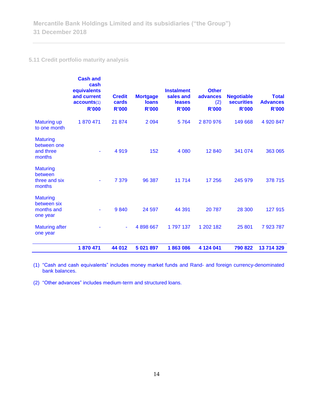# **5.11 Credit portfolio maturity analysis**

|                                                          | <b>Cash and</b><br>cash<br>equivalents<br>and current<br>accounts(1)<br><b>R'000</b> | <b>Credit</b><br>cards<br><b>R'000</b> | <b>Mortgage</b><br><b>loans</b><br><b>R'000</b> | <b>Instalment</b><br>sales and<br>leases<br><b>R'000</b> | <b>Other</b><br><b>advances</b><br>(2)<br><b>R'000</b> | <b>Negotiable</b><br><b>securities</b><br><b>R'000</b> | <b>Total</b><br><b>Advances</b><br><b>R'000</b> |
|----------------------------------------------------------|--------------------------------------------------------------------------------------|----------------------------------------|-------------------------------------------------|----------------------------------------------------------|--------------------------------------------------------|--------------------------------------------------------|-------------------------------------------------|
| <b>Maturing up</b><br>to one month                       | 1870471                                                                              | 21 874                                 | 2 0 9 4                                         | 5764                                                     | 2870976                                                | 149 668                                                | 4 920 847                                       |
| <b>Maturing</b><br>between one<br>and three<br>months    |                                                                                      | 4919                                   | 152                                             | 4 0 8 0                                                  | 12 840                                                 | 341 074                                                | 363 065                                         |
| <b>Maturing</b><br>between<br>three and six<br>months    | ۰                                                                                    | 7 3 7 9                                | 96 387                                          | 11714                                                    | 17 256                                                 | 245 979                                                | 378 715                                         |
| <b>Maturing</b><br>between six<br>months and<br>one year |                                                                                      | 9840                                   | 24 597                                          | 44 391                                                   | 20787                                                  | 28 300                                                 | 127 915                                         |
| <b>Maturing after</b><br>one year                        |                                                                                      | ٠                                      | 4 898 667                                       | 1797137                                                  | 1 202 182                                              | 25 801                                                 | 7923787                                         |
|                                                          | 1870 471                                                                             | 44 012                                 | 5 021 897                                       | 1863086                                                  | 4 124 041                                              | 790 822                                                | 13 714 329                                      |

(1) "Cash and cash equivalents" includes money market funds and Rand- and foreign currency-denominated bank balances.

(2) "Other advances" includes medium-term and structured loans.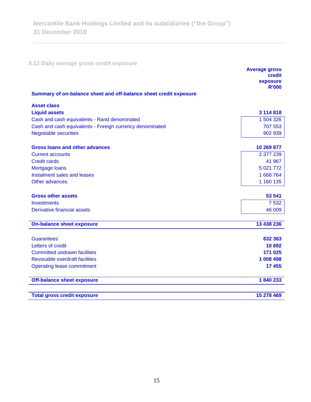**5.12 Daily average gross credit exposure** 

|                                                                   | <b>Average gross</b><br>credit<br>exposure |
|-------------------------------------------------------------------|--------------------------------------------|
|                                                                   | <b>R'000</b>                               |
| Summary of on-balance sheet and off-balance sheet credit exposure |                                            |
| <b>Asset class</b>                                                |                                            |
| <b>Liquid assets</b>                                              | 3 114 818                                  |
| Cash and cash equivalents - Rand denominated                      | 1 504 326                                  |
| Cash and cash equivalents - Foreign currency denominated          | 707 553                                    |
| <b>Negotiable securities</b>                                      | 902 939                                    |
| <b>Gross loans and other advances</b>                             | 10 269 877                                 |
| <b>Current accounts</b>                                           | 2 377 239                                  |
| <b>Credit cards</b>                                               | 41 967                                     |
| Mortgage loans                                                    | 5 0 21 7 7 2                               |
| Instalment sales and leases                                       | 1 668 764                                  |
| Other advances                                                    | 1 160 135                                  |
| <b>Gross other assets</b>                                         | 53 541                                     |
| <b>Investments</b>                                                | 7 5 3 2                                    |
| <b>Derivative financial assets</b>                                | 46 009                                     |
| <b>On-balance sheet exposure</b>                                  | 13 438 236                                 |
| <b>Guarantees</b>                                                 | 632 363                                    |
| Letters of credit                                                 | 10892                                      |
| <b>Committed undrawn facilities</b>                               | 171 025                                    |
| <b>Revocable overdraft facilities</b>                             | 1 008 498                                  |
| <b>Operating lease commitment</b>                                 | 17 455                                     |
| <b>Off-balance sheet exposure</b>                                 | 1840233                                    |
| <b>Total gross credit exposure</b>                                | 15 278 469                                 |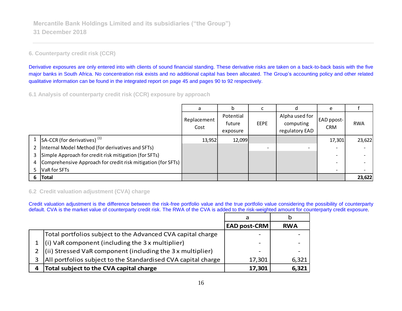### **6. Counterparty credit risk (CCR)**

Derivative exposures are only entered into with clients of sound financial standing. These derivative risks are taken on a back-to-back basis with the five major banks in South Africa. No concentration risk exists and no additional capital has been allocated. The Group's accounting policy and other related qualitative information can be found in the integrated report on page 45 and pages 90 to 92 respectively.

**6.1 Analysis of counterparty credit risk (CCR) exposure by approach**

|               |                                                              | a                   | b                               |             | d                                             | e                               |            |
|---------------|--------------------------------------------------------------|---------------------|---------------------------------|-------------|-----------------------------------------------|---------------------------------|------------|
|               |                                                              | Replacement<br>Cost | Potential<br>future<br>exposure | <b>EEPE</b> | Alpha used for<br>computing<br>regulatory EAD | <b>EAD</b> ppost-<br><b>CRM</b> | <b>RWA</b> |
|               | $ SA-CCR$ (for derivatives) $^{(1)}$                         | 13,952              | 12,099                          |             |                                               | 17,301                          | 23,622     |
| $\mathcal{P}$ | Internal Model Method (for derivatives and SFTs)             |                     |                                 |             |                                               |                                 |            |
| 3             | Simple Approach for credit risk mitigation (for SFTs)        |                     |                                 |             |                                               |                                 |            |
| 4             | Comprehensive Approach for credit risk mitigation (for SFTs) |                     |                                 |             |                                               |                                 |            |
|               | VaR for SFTs                                                 |                     |                                 |             |                                               |                                 |            |
| 6             | Total                                                        |                     |                                 |             |                                               |                                 | 23,622     |

### **6.2 Credit valuation adjustment (CVA) charge**

Credit valuation adjustment is the difference between the risk-free portfolio value and the true portfolio value considering the possibility of counterparty default. CVA is the market value of counterparty credit risk. The RWA of the CVA is added to the risk-weighted amount for counterparty credit exposure.

|   |                                                                    | <b>EAD post-CRM</b> | <b>RWA</b> |
|---|--------------------------------------------------------------------|---------------------|------------|
|   | Total portfolios subject to the Advanced CVA capital charge        |                     |            |
|   | (i) VaR component (including the $3x$ multiplier)                  |                     |            |
|   | $\vert$ (ii) Stressed VaR component (including the 3 x multiplier) |                     |            |
|   | All portfolios subject to the Standardised CVA capital charge      | 17,301              | 6,321      |
| 4 | Total subject to the CVA capital charge                            | 17,301              | 6,321      |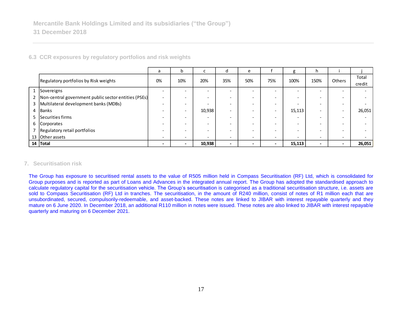|                |                                                      | a                        | b                        | L      | d                        | e                        |                          | g                        | h                        |                          |        |
|----------------|------------------------------------------------------|--------------------------|--------------------------|--------|--------------------------|--------------------------|--------------------------|--------------------------|--------------------------|--------------------------|--------|
|                | Regulatory portfolios by Risk weights                | 0%                       | 10%                      | 20%    | 35%                      | 50%                      | 75%                      | 100%                     | 150%                     | <b>Others</b>            | Total  |
|                |                                                      |                          |                          |        |                          |                          |                          |                          |                          |                          | credit |
| $\mathbf{1}$   | Sovereigns                                           |                          |                          |        |                          | $\overline{\phantom{a}}$ |                          | $\overline{\phantom{0}}$ |                          | $\overline{\phantom{a}}$ |        |
| $\overline{2}$ | Non-central government public sector entities (PSEs) | $\overline{\phantom{0}}$ | $\overline{\phantom{0}}$ |        |                          | $\overline{\phantom{0}}$ | $\overline{\phantom{0}}$ | $\overline{\phantom{a}}$ |                          | $\overline{\phantom{0}}$ |        |
| 3              | Multilateral development banks (MDBs)                |                          | $\overline{\phantom{0}}$ |        |                          | $\overline{\phantom{0}}$ | $\overline{\phantom{a}}$ | $\overline{\phantom{a}}$ |                          | $\overline{\phantom{0}}$ |        |
| 4              | <b>Banks</b>                                         |                          | $\overline{\phantom{0}}$ | 10,938 |                          | $\overline{\phantom{0}}$ | $\overline{\phantom{a}}$ | 15,113                   |                          | $\overline{\phantom{0}}$ | 26,051 |
| 5              | Securities firms                                     |                          | $\overline{\phantom{0}}$ |        |                          | $\overline{\phantom{0}}$ | $\overline{\phantom{a}}$ | $\overline{\phantom{a}}$ |                          | $\overline{\phantom{0}}$ |        |
|                | 6 Corporates                                         |                          | $\overline{\phantom{0}}$ |        |                          | $\overline{\phantom{0}}$ | $\overline{\phantom{0}}$ | $\overline{\phantom{0}}$ |                          | $\overline{\phantom{0}}$ |        |
|                | Regulatory retail portfolios                         |                          |                          |        |                          |                          | $\overline{\phantom{0}}$ | $\overline{\phantom{a}}$ |                          | $\overline{\phantom{0}}$ |        |
|                | 13 Other assets                                      | $\overline{\phantom{0}}$ | $\overline{\phantom{0}}$ |        |                          | $\overline{\phantom{a}}$ | $\overline{\phantom{a}}$ | $\overline{\phantom{0}}$ | $\overline{\phantom{0}}$ | $\overline{\phantom{a}}$ |        |
|                | 14 Total                                             | $\overline{\phantom{0}}$ | $\overline{\phantom{0}}$ | 10,938 | $\overline{\phantom{0}}$ |                          | $\,$                     | 15,113                   | $\overline{\phantom{0}}$ | $\blacksquare$           | 26,051 |

**6.3 CCR exposures by regulatory portfolios and risk weights**

### **7. Securitisation risk**

The Group has exposure to securitised rental assets to the value of R505 million held in Compass Securitisation (RF) Ltd, which is consolidated for Group purposes and is reported as part of Loans and Advances in the integrated annual report. The Group has adopted the standardised approach to calculate regulatory capital for the securitisation vehicle. The Group's securitisation is categorised as a traditional securitisation structure, i.e. assets are sold to Compass Securitisation (RF) Ltd in tranches. The securitisation, in the amount of R240 million, consist of notes of R1 million each that are unsubordinated, secured, compulsorily-redeemable, and asset-backed. These notes are linked to JIBAR with interest repayable quarterly and they mature on 6 June 2020. In December 2018, an additional R110 million in notes were issued. These notes are also linked to JIBAR with interest repayable quarterly and maturing on 6 December 2021.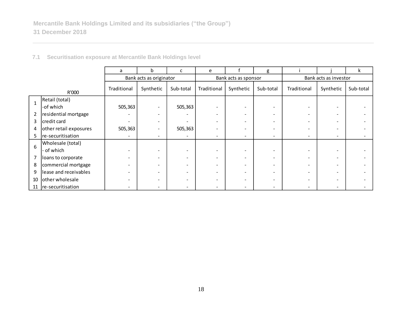|                |                        | a           | b                        | c                            | e                        |                          | g                        |                          |           | ĸ         |  |
|----------------|------------------------|-------------|--------------------------|------------------------------|--------------------------|--------------------------|--------------------------|--------------------------|-----------|-----------|--|
|                |                        |             | Bank acts as originator  |                              |                          | Bank acts as sponsor     |                          | Bank acts as investor    |           |           |  |
|                | R'000                  | Traditional | Synthetic                | Sub-total                    | Traditional              | Synthetic                | Sub-total                | Traditional              | Synthetic | Sub-total |  |
|                | Retail (total)         |             |                          |                              |                          |                          |                          |                          |           |           |  |
|                | -of which              | 505,363     |                          | 505,363                      |                          | $\overline{\phantom{a}}$ | $\overline{\phantom{0}}$ |                          |           |           |  |
| $\overline{2}$ | residential mortgage   |             |                          | $\overline{\phantom{a}}$     |                          |                          | $\overline{\phantom{0}}$ |                          |           |           |  |
| 3              | credit card            |             | $\overline{\phantom{a}}$ | $\overline{\phantom{a}}$     | -                        |                          | $\overline{\phantom{0}}$ |                          |           |           |  |
| 4              | other retail exposures | 505,363     | $\overline{\phantom{0}}$ | 505,363                      |                          |                          | $\overline{\phantom{0}}$ |                          |           |           |  |
| 5              | re-securitisation      |             | $\overline{\phantom{a}}$ | $\overline{\phantom{a}}$     | -                        | $\overline{\phantom{a}}$ | $\overline{\phantom{0}}$ | $\overline{\phantom{0}}$ |           |           |  |
| 6              | Wholesale (total)      |             |                          |                              |                          |                          |                          |                          |           |           |  |
|                | - of which             |             |                          | $\overline{\phantom{a}}$     |                          |                          |                          |                          |           |           |  |
| 7              | loans to corporate     |             |                          | $\qquad \qquad \blacksquare$ |                          |                          |                          |                          |           |           |  |
| 8              | commercial mortgage    |             |                          | $\overline{\phantom{0}}$     |                          |                          | $\overline{\phantom{0}}$ |                          |           |           |  |
| 9              | lease and receivables  |             |                          | $\overline{\phantom{a}}$     |                          |                          |                          |                          |           |           |  |
| 10             | other wholesale        |             |                          |                              |                          |                          |                          |                          |           |           |  |
| 11             | re-securitisation      |             | $\overline{\phantom{0}}$ | $\overline{\phantom{a}}$     | $\overline{\phantom{0}}$ | $\overline{\phantom{0}}$ | $\overline{\phantom{a}}$ |                          |           |           |  |

**7.1 Securitisation exposure at Mercantile Bank Holdings level**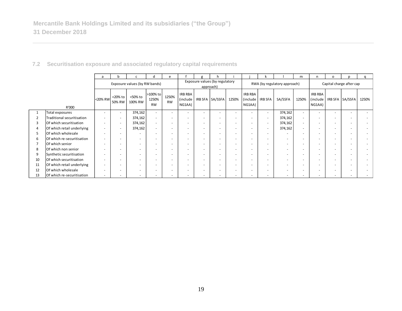|                |                            | a                        |                          |                               |                                | e                        |                                 |                                             |                          |                          |                               |                          |                              | m                        | n                                    | o                        |                          | a     |
|----------------|----------------------------|--------------------------|--------------------------|-------------------------------|--------------------------------|--------------------------|---------------------------------|---------------------------------------------|--------------------------|--------------------------|-------------------------------|--------------------------|------------------------------|--------------------------|--------------------------------------|--------------------------|--------------------------|-------|
|                |                            |                          |                          | Exposure values (by RW bands) |                                |                          |                                 | Exposure values (by regulatory<br>approach) |                          |                          |                               |                          | RWA (by regulatory approach) |                          | Capital charge after cap             |                          |                          |       |
|                | R'000                      | <20% RW                  | <20% to<br>50% RW        | <50% to<br>100% RW            | >100% to<br>1250%<br><b>RW</b> | 1250%<br><b>RW</b>       | IRB RBA<br>(include  <br>NG1AA) |                                             | IRB SFA SA/SSFA          | 1250%                    | IRB RBA<br>(include<br>NG1AA) | IRB SFA                  | SA/SSFA                      | 1250%                    | <b>IRB RBA</b><br>(include<br>NG1AA) |                          | IRB SFA SA/SSFA          | 1250% |
|                | Total exposures            | $\overline{\phantom{a}}$ | $\overline{\phantom{a}}$ | 374,162                       | $\overline{\phantom{a}}$       | $\overline{\phantom{0}}$ | $\overline{\phantom{a}}$        | $\overline{\phantom{a}}$                    | $\overline{\phantom{a}}$ | $\overline{\phantom{0}}$ | $\overline{\phantom{0}}$      | $\overline{\phantom{a}}$ | 374,162                      | $\overline{\phantom{a}}$ | $\overline{a}$                       | $\overline{\phantom{0}}$ | $\overline{\phantom{a}}$ |       |
| 2              | Traditional securitisation | $\overline{\phantom{a}}$ | $\overline{\phantom{a}}$ | 374,162                       | $\sim$                         |                          | $\overline{\phantom{a}}$        | $\overline{\phantom{0}}$                    | $\overline{\phantom{a}}$ | $\overline{\phantom{0}}$ | ٠                             | ٠                        | 374,162                      | $\overline{\phantom{a}}$ | $\overline{\phantom{0}}$             | $\overline{\phantom{a}}$ | $\overline{\phantom{0}}$ |       |
| 3              | Of which securitisation    | ٠                        | $\overline{\phantom{a}}$ | 374,162                       | $\overline{\phantom{a}}$       |                          | $\overline{\phantom{a}}$        |                                             | $\overline{\phantom{0}}$ |                          | ٠                             |                          | 374,162                      | $\overline{\phantom{a}}$ |                                      |                          | $\overline{\phantom{0}}$ |       |
| 4              | Of which retail underlying | ٠                        | $\overline{\phantom{a}}$ | 374,162                       | $\overline{\phantom{a}}$       |                          | ٠                               | $\overline{\phantom{0}}$                    | $\overline{\phantom{a}}$ | $\overline{\phantom{0}}$ | ٠                             | ٠                        | 374,162                      | $\overline{a}$           |                                      | $\overline{\phantom{a}}$ | $\overline{\phantom{0}}$ |       |
| 5              | Of which wholesale         | $\overline{\phantom{a}}$ | $\overline{\phantom{a}}$ | $\overline{\phantom{a}}$      | $\overline{\phantom{0}}$       |                          | $\overline{\phantom{a}}$        | $\overline{\phantom{0}}$                    | $\overline{\phantom{a}}$ | $\overline{\phantom{0}}$ | ٠                             | ٠                        | $\sim$                       | $\overline{a}$           | $\overline{\phantom{0}}$             | $\overline{\phantom{a}}$ | $\overline{\phantom{a}}$ |       |
| 6              | Of which re-securitisation | ٠                        | -                        | $\overline{\phantom{a}}$      | $\overline{\phantom{0}}$       |                          | $\overline{\phantom{0}}$        | $\overline{\phantom{0}}$                    | $\overline{\phantom{0}}$ |                          | $\overline{\phantom{a}}$      | -                        | $\overline{a}$               | $\overline{\phantom{a}}$ | $\overline{\phantom{0}}$             | $\overline{\phantom{a}}$ | $\overline{\phantom{a}}$ |       |
| $\overline{7}$ | Of which senior            | $\overline{\phantom{a}}$ | -                        | $\overline{\phantom{0}}$      | $\overline{\phantom{0}}$       |                          | ٠                               | ۰                                           | $\overline{\phantom{a}}$ | ۰                        | ٠                             | ۰                        | $\overline{\phantom{a}}$     | $\overline{\phantom{a}}$ | $\overline{\phantom{0}}$             | $\overline{\phantom{a}}$ | $\overline{\phantom{a}}$ |       |
| 8              | Of which non senior        | $\overline{\phantom{a}}$ | $\overline{\phantom{a}}$ | $\overline{\phantom{a}}$      | $\overline{\phantom{a}}$       | $\overline{\phantom{0}}$ | $\overline{\phantom{a}}$        | $\overline{\phantom{0}}$                    | $\overline{\phantom{a}}$ | $\overline{\phantom{0}}$ | ٠                             | $\overline{\phantom{a}}$ | $\overline{\phantom{0}}$     | $\overline{a}$           | $\overline{a}$                       | $\overline{\phantom{a}}$ | $\overline{\phantom{a}}$ |       |
| 9              | Synthetic securitisation   | $\overline{\phantom{a}}$ | $\overline{\phantom{a}}$ | $\overline{\phantom{a}}$      | $\overline{\phantom{0}}$       |                          | $\overline{a}$                  | $\overline{\phantom{0}}$                    | $\overline{\phantom{a}}$ | $\overline{\phantom{0}}$ | ٠                             | ۰                        | $\overline{\phantom{0}}$     | $\overline{a}$           | $\sim$                               | $\overline{\phantom{a}}$ | $\overline{\phantom{a}}$ |       |
| 10             | Of which securitisation    | $\overline{\phantom{a}}$ | -                        | $\overline{\phantom{a}}$      | $\overline{\phantom{0}}$       |                          | $\overline{\phantom{a}}$        | $\overline{\phantom{a}}$                    | $\overline{\phantom{0}}$ | $\overline{\phantom{0}}$ | $\overline{a}$                | $\overline{\phantom{0}}$ | $\overline{\phantom{a}}$     | $\overline{\phantom{0}}$ |                                      | -                        | $\overline{\phantom{0}}$ |       |
| 11             | Of which retail underlying | $\overline{\phantom{a}}$ | -                        | $\overline{\phantom{a}}$      | $\overline{\phantom{0}}$       |                          | $\overline{\phantom{a}}$        | $\overline{\phantom{0}}$                    | $\overline{\phantom{a}}$ | -                        | ٠                             | -                        | $\overline{a}$               | $\overline{\phantom{0}}$ | $\overline{\phantom{0}}$             | $\overline{\phantom{a}}$ | $\overline{\phantom{a}}$ |       |
| 12             | Of which wholesale         | $\overline{\phantom{a}}$ |                          | $\overline{\phantom{a}}$      | $\overline{\phantom{0}}$       |                          | $\overline{a}$                  | $\overline{\phantom{0}}$                    | $\overline{\phantom{0}}$ |                          | $\overline{\phantom{0}}$      | -                        | $\overline{\phantom{0}}$     | $\overline{\phantom{a}}$ |                                      | $\overline{\phantom{a}}$ | $\overline{\phantom{0}}$ |       |
| 13             | Of which re-securitisation | $\overline{\phantom{0}}$ |                          |                               |                                |                          |                                 |                                             |                          |                          | $\overline{\phantom{0}}$      |                          | $\overline{\phantom{0}}$     |                          |                                      |                          |                          |       |

## **7.2 Securitisation exposure and associated regulatory capital requirements**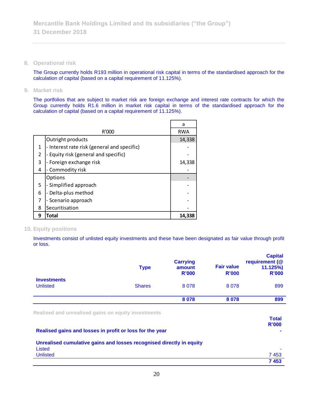**8. Operational risk**

The Group currently holds R193 million in operational risk capital in terms of the standardised approach for the calculation of capital (based on a capital requirement of 11.125%).

**9. Market risk**

The portfolios that are subject to market risk are foreign exchange and interest rate contracts for which the Group currently holds R1.6 million in market risk capital in terms of the standardised approach for the calculation of capital (based on a capital requirement of 11.125%).

|                |                                             | a          |
|----------------|---------------------------------------------|------------|
|                | R'000                                       | <b>RWA</b> |
|                | Outright products                           | 14,338     |
| 1              | - Interest rate risk (general and specific) |            |
| $\overline{2}$ | - Equity risk (general and specific)        |            |
| 3              | - Foreign exchange risk                     | 14,338     |
| 4              | Commodity risk                              |            |
|                | Options                                     |            |
| 5              | - Simplified approach                       |            |
| 6              | Delta-plus method                           |            |
| 7              | - Scenario approach                         |            |
| 8              | Securitisation                              |            |
| 9              | Total                                       | 14.338     |

### **10. Equity positions**

Investments consist of unlisted equity investments and these have been designated as fair value through profit or loss.

|                                                                                                                 | <b>Type</b>   | <b>Carrying</b><br>amount<br><b>R'000</b> | <b>Fair value</b><br>R'000 | <b>Capital</b><br>requirement (@<br>11.125%)<br><b>R'000</b> |
|-----------------------------------------------------------------------------------------------------------------|---------------|-------------------------------------------|----------------------------|--------------------------------------------------------------|
| <b>Investments</b><br><b>Unlisted</b>                                                                           | <b>Shares</b> | 8078                                      | 8078                       | 899                                                          |
|                                                                                                                 |               | 8 0 7 8                                   | 8 0 7 8                    | 899                                                          |
| Realised and unrealised gains on equity investments<br>Realised gains and losses in profit or loss for the year |               |                                           |                            | <b>Total</b><br>R'000                                        |

| Unrealised cumulative gains and losses recognised directly in equity |      |
|----------------------------------------------------------------------|------|
| Listed                                                               |      |
| Unlisted                                                             | 7453 |

| ٠ | ۰,<br>v |
|---|---------|

**7 453**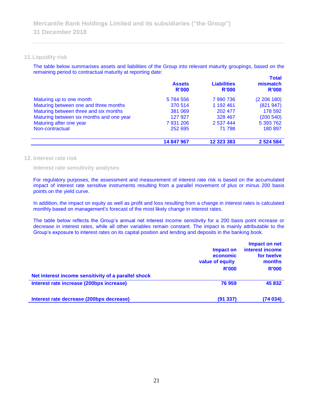### **11.Liquidity risk**

The table below summarises assets and liabilities of the Group into relevant maturity groupings, based on the remaining period to contractual maturity at reporting date: **Total**

|                                          | <b>Assets</b><br>R'000 | <b>Liabilities</b><br>R'000 | <u>i otal</u><br>mismatch<br>R'000 |
|------------------------------------------|------------------------|-----------------------------|------------------------------------|
| Maturing up to one month                 | 5784556                | 7 990 736                   | (2206180)                          |
| Maturing between one and three months    | 370 514                | 1 192 461                   | (821947)                           |
| Maturing between three and six months    | 381 069                | 202 477                     | 178 592                            |
| Maturing between six months and one year | 127 927                | 328 467                     | (200540)                           |
| Maturing after one year                  | 7931206                | 2 537 444                   | 5 393 762                          |
| Non-contractual                          | 252 695                | 71 798                      | 180 897                            |
|                                          | 14 847 967             | 12 323 383                  | 2 5 2 4 5 8 4                      |

#### **12. Interest rate risk**

#### **Interest rate sensitivity analyses**

For regulatory purposes, the assessment and measurement of interest rate risk is based on the accumulated impact of interest rate sensitive instruments resulting from a parallel movement of plus or minus 200 basis points on the yield curve.

In addition, the impact on equity as well as profit and loss resulting from a change in interest rates is calculated monthly based on management's forecast of the most likely change in interest rates.

The table below reflects the Group's annual net interest income sensitivity for a 200 basis point increase or decrease in interest rates, while all other variables remain constant. The impact is mainly attributable to the Group's exposure to interest rates on its capital position and lending and deposits in the banking book.

|                                                     | Impact on<br>economic<br>value of equity<br><b>R'000</b> | Impact on net<br>interest income<br>for twelve<br>months<br><b>R'000</b> |
|-----------------------------------------------------|----------------------------------------------------------|--------------------------------------------------------------------------|
| Net interest income sensitivity of a parallel shock |                                                          |                                                                          |
| Interest rate increase (200bps increase)            | 76 959                                                   | 45 832                                                                   |
| Interest rate decrease (200bps decrease)            | (91 337)                                                 | (74 034)                                                                 |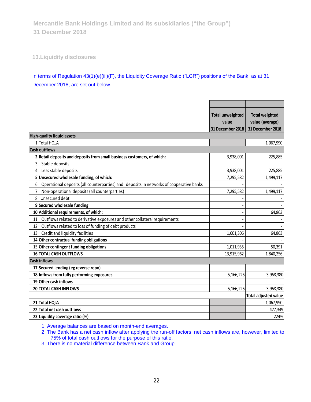**13.Liquidity disclosures**

In terms of Regulation 43(1)(e)(iii)(F), the Liquidity Coverage Ratio ("LCR") positions of the Bank, as at 31 December 2018, are set out below.

|                |                                                                                         | <b>Total unweighted</b><br>value<br>31 December 2018 | <b>Total weighted</b><br>value (average)<br>31 December 2018 |
|----------------|-----------------------------------------------------------------------------------------|------------------------------------------------------|--------------------------------------------------------------|
|                | <b>High-quality liquid assets</b>                                                       |                                                      |                                                              |
|                | 1 Total HQLA                                                                            |                                                      | 1,067,990                                                    |
|                | <b>Cash outflows</b>                                                                    |                                                      |                                                              |
|                | 2 Retail deposits and deposits from small business customers, of which:                 | 3,938,001                                            | 225,885                                                      |
| 3              | Stable deposits                                                                         |                                                      |                                                              |
| 4              | Less stable deposits                                                                    | 3,938,001                                            | 225,885                                                      |
|                | 5 Unsecured wholesale funding, of which:                                                | 7,295,582                                            | 1,499,117                                                    |
| 6 <sup>1</sup> | Operational deposits (all counterparties) and deposits in networks of cooperative banks |                                                      |                                                              |
|                | Non-operational deposits (all counterparties)                                           | 7,295,582                                            | 1,499,117                                                    |
| 8              | Unsecured debt                                                                          |                                                      |                                                              |
|                | 9Secured wholesale funding                                                              |                                                      |                                                              |
|                | 10 Additional requirements, of which:                                                   |                                                      | 64,863                                                       |
| 11             | Outflows related to derivative exposures and other collateral requirements              |                                                      |                                                              |
| 12             | Outflows related to loss of funding of debt products                                    |                                                      |                                                              |
| 13             | Credit and liquidity facilities                                                         | 1,601,306                                            | 64,863                                                       |
|                | 14 Other contractual funding obligations                                                |                                                      |                                                              |
|                | 15 Other contingent funding obligations                                                 | 1,011,935                                            | 50,391                                                       |
|                | <b>16 TOTAL CASH OUTFLOWS</b>                                                           | 13,915,962                                           | 1,840,256                                                    |
|                | <b>Cash inflows</b>                                                                     |                                                      |                                                              |
|                | 17 Secured lending (eg reverse repo)                                                    |                                                      |                                                              |
|                | 18 Inflows from fully performing exposures                                              | 5,166,226                                            | 3,968,380                                                    |
|                | 19 Other cash inflows                                                                   |                                                      |                                                              |
|                | 20 TOTAL CASH INFLOWS                                                                   | 5,166,226                                            | 3,968,380                                                    |
|                |                                                                                         |                                                      | <b>Total adjusted value</b>                                  |
|                | 21 Total HQLA                                                                           |                                                      | 1,067,990                                                    |
|                | 22 Total net cash outflows                                                              |                                                      | 477,349                                                      |
|                | 23 Liquidity coverage ratio (%)                                                         |                                                      | 224%                                                         |

1. Average balances are based on month-end averages.

2. The Bank has a net cash inflow after applying the run-off factors; net cash inflows are, however, limited to 75% of total cash outflows for the purpose of this ratio.

3. There is no material difference between Bank and Group.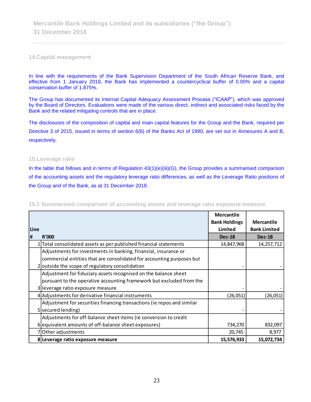### **14.Capital management**

In line with the requirements of the Bank Supervision Department of the South African Reserve Bank, and effective from 1 January 2018, the Bank has implemented a countercyclical buffer of 0.00% and a capital conservation buffer of 1.875%.

The Group has documented its Internal Capital Adequacy Assessment Process ("ICAAP"), which was approved by the Board of Directors. Evaluations were made of the various direct, indirect and associated risks faced by the Bank and the related mitigating controls that are in place.

The disclosures of the composition of capital and main capital features for the Group and the Bank, required per Directive 3 of 2015, issued in terms of section 6(6) of the Banks Act of 1990, are set out in Annexures A and B, respectively.

### **15.Leverage ratio**

In the table that follows and in terms of Regulation 43(1)(e)(iii)(G), the Group provides a summarised comparison of the accounting assets and the regulatory leverage ratio differences, as well as the Leverage Ratio positions of the Group and of the Bank, as at 31 December 2018.

|             |                                                                        | <b>Mercantile</b>    |                     |
|-------------|------------------------------------------------------------------------|----------------------|---------------------|
|             |                                                                        | <b>Bank Holdings</b> | <b>Mercantile</b>   |
| <b>Line</b> |                                                                        | Limited              | <b>Bank Limited</b> |
| l#          | R'000                                                                  | <b>Dec-18</b>        | <b>Dec-18</b>       |
|             | Total consolidated assets as per published financial statements        | 14,847,968           | 14,257,712          |
|             | Adjustments for investments in banking, financial, insurance or        |                      |                     |
|             | commercial entities that are consolidated for accounting purposes but  |                      |                     |
|             | 2 outside the scope of regulatory consolidation                        |                      |                     |
|             | Adjustment for fiduciary assets recognised on the balance sheet        |                      |                     |
|             | pursuant to the operative accounting framework but excluded from the   |                      |                     |
|             | 3 leverage ratio exposure measure                                      |                      |                     |
|             | 4 Adjustments for derivative financial instruments                     | (26, 051)            | (26, 051)           |
|             | Adjustment for securities financing transactions (ie repos and similar |                      |                     |
|             | 5 secured lending)                                                     |                      |                     |
|             | Adjustments for off-balance sheet items (ie conversion to credit       |                      |                     |
|             | 6 equivalent amounts of off-balance sheet exposures)                   | 734,270              | 832,097             |
|             | 7 Other adjustments                                                    | 20,745               | 8,977               |
|             | 8 Leverage ratio exposure measure                                      | 15,576,933           | 15,072,734          |

**15.1 Summarised comparison of accounting assets and leverage ratio exposure measure**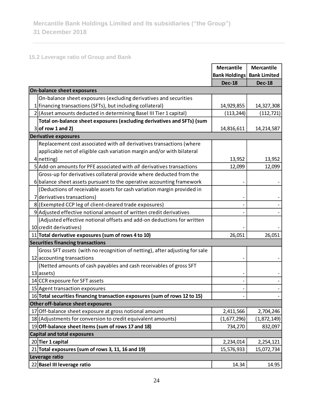# **15.2 Leverage ratio of Group and Bank**

|    |                                                                             | <b>Mercantile</b>    | <b>Mercantile</b>   |
|----|-----------------------------------------------------------------------------|----------------------|---------------------|
|    |                                                                             | <b>Bank Holdings</b> | <b>Bank Limited</b> |
|    |                                                                             | <b>Dec-18</b>        | <b>Dec-18</b>       |
|    | On-balance sheet exposures                                                  |                      |                     |
|    | On-balance sheet exposures (excluding derivatives and securities            |                      |                     |
|    | 1 financing transactions (SFTs), but including collateral)                  | 14,929,855           | 14,327,308          |
|    | 2 (Asset amounts deducted in determining Basel III Tier 1 capital)          | (113, 244)           | (112, 721)          |
|    | Total on-balance sheet exposures (excluding derivatives and SFTs) (sum      |                      |                     |
|    | $3$ of row 1 and 2)                                                         | 14,816,611           | 14,214,587          |
|    | <b>Derivative exposures</b>                                                 |                      |                     |
|    | Replacement cost associated with all derivatives transactions (where        |                      |                     |
|    | applicable net of eligible cash variation margin and/or with bilateral      |                      |                     |
|    | $4$   netting)                                                              | 13,952               | 13,952              |
|    | 5 Add-on amounts for PFE associated with all derivatives transactions       | 12,099               | 12,099              |
|    | Gross-up for derivatives collateral provide where deducted from the         |                      |                     |
|    | 6 balance sheet assets pursuant to the operative accounting framework       |                      |                     |
|    | (Deductions of receivable assets for cash variation margin provided in      |                      |                     |
|    | 7 derivatives transactions)                                                 |                      |                     |
|    | 8 (Exempted CCP leg of client-cleared trade exposures)                      |                      |                     |
|    | 9 Adjusted effective notional amount of written credit derivatives          |                      |                     |
|    | (Adjusted effective notional offsets and add-on deductions for written      |                      |                     |
|    | 10 credit derivatives)                                                      |                      |                     |
|    | 11 Total derivative exposures (sum of rows 4 to 10)                         | 26,051               | 26,051              |
|    | Securities financing transactions                                           |                      |                     |
|    | Gross SFT assets (with no recognition of netting), after adjusting for sale |                      |                     |
|    | 12 accounting transactions                                                  |                      |                     |
|    | (Netted amounts of cash payables and cash receivables of gross SFT          |                      |                     |
|    | $13$ assets)                                                                |                      |                     |
|    | 14 CCR exposure for SFT assets                                              |                      |                     |
|    | 15 Agent transaction exposures                                              |                      |                     |
|    | 16 Total securities financing transaction exposures (sum of rows 12 to 15)  | -                    |                     |
|    | Other off-balance sheet exposures                                           |                      |                     |
| 17 | Off-balance sheet exposure at gross notional amount                         | 2,411,566            | 2,704,246           |
|    | 18 (Adjustments for conversion to credit equivalent amounts)                | (1,677,296)          | (1,872,149)         |
|    | 19 Off-balance sheet items (sum of rows 17 and 18)                          | 734,270              | 832,097             |
|    | <b>Capital and total exposures</b>                                          |                      |                     |
|    | 20 Tier 1 capital                                                           | 2,234,014            | 2,254,121           |
|    | $21$ Total exposures (sum of rows 3, 11, 16 and 19)                         | 15,576,933           | 15,072,734          |
|    | Leverage ratio                                                              |                      |                     |
|    | 22 Basel III leverage ratio                                                 | 14.34                | 14.95               |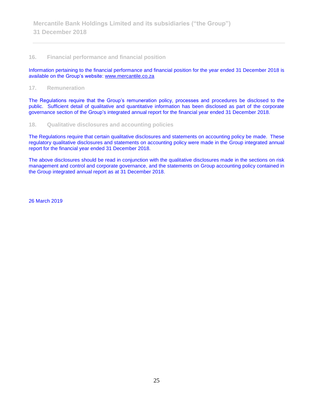### **16. Financial performance and financial position**

Information pertaining to the financial performance and financial position for the year ended 31 December 2018 is available on the Group's website: [www.mercantile.co.za](http://www.mercantile.co.za/)

#### **17. Remuneration**

The Regulations require that the Group's remuneration policy, processes and procedures be disclosed to the public. Sufficient detail of qualitative and quantitative information has been disclosed as part of the corporate governance section of the Group's integrated annual report for the financial year ended 31 December 2018.

### **18. Qualitative disclosures and accounting policies**

The Regulations require that certain qualitative disclosures and statements on accounting policy be made. These regulatory qualitative disclosures and statements on accounting policy were made in the Group integrated annual report for the financial year ended 31 December 2018.

The above disclosures should be read in conjunction with the qualitative disclosures made in the sections on risk management and control and corporate governance, and the statements on Group accounting policy contained in the Group integrated annual report as at 31 December 2018.

26 March 2019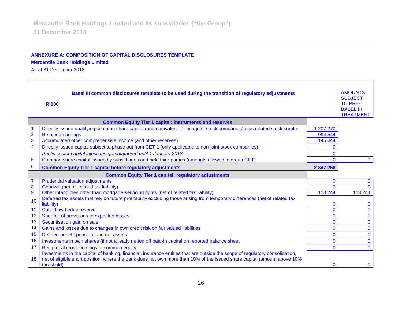### **ANNEXURE A: COMPOSITION OF CAPITAL DISCLOSURES TEMPLATE**

### **Mercantile Bank Holdings Limited**

As at 31 December 2018

| Basel III common disclosures template to be used during the transition of regulatory adjustments<br><b>R'000</b> |                                                                                                                                       |              |              |
|------------------------------------------------------------------------------------------------------------------|---------------------------------------------------------------------------------------------------------------------------------------|--------------|--------------|
|                                                                                                                  | <b>Common Equity Tier 1 capital: instruments and reserves</b>                                                                         |              |              |
|                                                                                                                  | Directly issued qualifying common share capital (and equivalent for non-joint stock companies) plus related stock surplus             | 1 207 270    |              |
| $\overline{\mathbf{c}}$                                                                                          | <b>Retained earnings</b>                                                                                                              | 994 544      |              |
| 3                                                                                                                | Accumulated other comprehensive income (and other reserves)                                                                           | 145 444      |              |
| $\overline{\mathbf{4}}$                                                                                          | Directly issued capital subject to phase out from CET 1 (only applicable to non-joint stock companies)                                | $\Omega$     |              |
|                                                                                                                  | Public sector capital injections grandfathered until 1 January 2018                                                                   | $\mathbf{0}$ |              |
| 5                                                                                                                | Common share capital issued by subsidiaries and held third parties (amounts allowed in group CET)                                     | $\Omega$     | $\mathbf 0$  |
| 6                                                                                                                | <b>Common Equity Tier 1 capital before regulatory adjustments</b>                                                                     | 2 347 258    |              |
|                                                                                                                  | <b>Common Equity Tier 1 capital: regulatory adjustments</b>                                                                           |              |              |
| $\overline{7}$                                                                                                   | <b>Prudential valuation adjustments</b>                                                                                               | 0            | $\mathbf{0}$ |
| 8                                                                                                                | Goodwill (net of related tax liability)                                                                                               | $\mathbf{0}$ | $\Omega$     |
| $\overline{9}$                                                                                                   | Other intangibles other than mortgage-servicing rights (net of related tax liability)                                                 | 113 244      | 113 244      |
| 10                                                                                                               | Deferred tax assets that rely on future profitability excluding those arising from temporary differences (net of related tax          |              |              |
|                                                                                                                  | liability)                                                                                                                            | $\mathbf 0$  | $\bf{0}$     |
| 11                                                                                                               | Cash-flow hedge reserve                                                                                                               | $\mathbf 0$  | $\mathbf{0}$ |
| 12                                                                                                               | Shortfall of provisions to expected losses                                                                                            | $\Omega$     | $\mathbf{0}$ |
| 13                                                                                                               | Securitisation gain on sale                                                                                                           | $\mathbf 0$  | $\mathbf 0$  |
| 14                                                                                                               | Gains and losses due to changes in own credit risk on fair valued liabilities                                                         | $\mathbf 0$  | $\mathbf{0}$ |
| 15                                                                                                               | Defined-benefit pension fund net assets                                                                                               | $\Omega$     | $\mathbf{0}$ |
| 16                                                                                                               | Investments in own shares (if not already netted off paid-in capital on reported balance sheet                                        | $\Omega$     | $\mathbf{0}$ |
| 17                                                                                                               | Reciprocal cross-holdings in common equity                                                                                            | $\mathbf{0}$ | $\Omega$     |
|                                                                                                                  | Investments in the capital of banking, financial, insurance entities that are outside the scope of regulatory consolidation,          |              |              |
| 18                                                                                                               | net of eligible short position, where the bank does not own more than 10% of the issued share capital (amount above 10%<br>threshold) | $\mathbf 0$  | $\mathbf 0$  |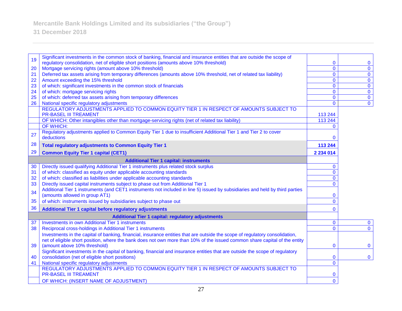| 19 | Significant investments in the common stock of banking, financial and insurance entities that are outside the scope of<br>regulatory consolidation, net of eligible short positions (amounts above 10% threshold) | $\bf{0}$       | $\bf{0}$     |
|----|-------------------------------------------------------------------------------------------------------------------------------------------------------------------------------------------------------------------|----------------|--------------|
| 20 | Mortgage servicing rights (amount above 10% threshold)                                                                                                                                                            | $\mathbf 0$    | $\mathbf 0$  |
| 21 | Deferred tax assets arising from temporary differences (amounts above 10% threshold, net of related tax liability)                                                                                                | $\overline{0}$ | $\mathbf 0$  |
| 22 | Amount exceeding the 15% threshold                                                                                                                                                                                | $\mathbf 0$    | $\mathbf 0$  |
| 23 | of which: significant investments in the common stock of financials                                                                                                                                               | $\mathbf 0$    | $\mathbf 0$  |
| 24 | of which: mortgage servicing rights                                                                                                                                                                               | $\mathbf 0$    | $\mathbf 0$  |
| 25 | of which: deferred tax assets arising from temporary differences                                                                                                                                                  | $\mathbf 0$    | $\mathbf 0$  |
| 26 | National specific regulatory adjustments                                                                                                                                                                          | $\mathbf{0}$   | $\mathbf 0$  |
|    | REGULATORY ADJUSTMENTS APPLIED TO COMMON EQUITY TIER 1 IN RESPECT OF AMOUNTS SUBJECT TO                                                                                                                           |                |              |
|    | <b>PR-BASEL III TREAMENT</b>                                                                                                                                                                                      | 113 244        |              |
|    | OF WHICH: Other intangibles other than mortgage-servicing rights (net of related tax liability)                                                                                                                   | 113 244        |              |
|    | OF WHICH:                                                                                                                                                                                                         | $\Omega$       |              |
| 27 | Regulatory adjustments applied to Common Equity Tier 1 due to insufficient Additional Tier 1 and Tier 2 to cover                                                                                                  |                |              |
|    | deductions                                                                                                                                                                                                        | 0              |              |
| 28 | <b>Total regulatory adjustments to Common Equity Tier 1</b>                                                                                                                                                       | 113 244        |              |
| 29 | <b>Common Equity Tier 1 capital (CET1)</b>                                                                                                                                                                        | 2 2 3 4 0 1 4  |              |
|    | <b>Additional Tier 1 capital: instruments</b>                                                                                                                                                                     |                |              |
| 30 | Directly issued qualifying Additional Tier 1 instruments plus related stock surplus                                                                                                                               | $\mathbf{0}$   |              |
| 31 | of which: classified as equity under applicable accounting standards                                                                                                                                              | $\mathbf{0}$   |              |
| 32 | of which: classified as liabilities under applicable accounting standards                                                                                                                                         | $\Omega$       |              |
| 33 | Directly issued capital instruments subject to phase out from Additional Tier 1                                                                                                                                   | $\mathbf{0}$   |              |
| 34 | Additional Tier 1 instruments (and CET1 instruments not included in line 5) issued by subsidiaries and held by third parties                                                                                      |                |              |
|    | (amounts allowed in group AT1)                                                                                                                                                                                    | 0              |              |
| 35 | of which: instruments issued by subsidiaries subject to phase out                                                                                                                                                 | $\mathbf{0}$   |              |
| 36 | Additional Tier 1 capital before regulatory adjustments                                                                                                                                                           | $\mathbf{0}$   |              |
|    | <b>Additional Tier 1 capital: regulatory adjustments</b>                                                                                                                                                          |                |              |
| 37 | <b>Investments in own Additional Tier 1 instruments</b>                                                                                                                                                           | $\mathbf 0$    | $\mathbf 0$  |
| 38 | Reciprocal cross-holdings in Additional Tier 1 instruments                                                                                                                                                        | $\mathbf 0$    | $\mathbf{0}$ |
|    | Investments in the capital of banking, financial, insurance entities that are outside the scope of regulatory consolidation,                                                                                      |                |              |
|    | net of eligible short position, where the bank does not own more than 10% of the issued common share capital of the entity                                                                                        |                |              |
| 39 | (amount above 10% threshold)                                                                                                                                                                                      | $\bf{0}$       | $\mathbf{0}$ |
|    | Significant investments in the capital of banking, financial and insurance entities that are outside the scope of regulatory                                                                                      |                |              |
| 40 | consolidation (net of eligible short positions)                                                                                                                                                                   | 0              | $\mathbf 0$  |
| 41 | National specific regulatory adjustments<br>REGULATORY ADJUSTMENTS APPLIED TO COMMON EQUITY TIER 1 IN RESPECT OF AMOUNTS SUBJECT TO                                                                               | $\mathbf{0}$   |              |
|    | <b>PR-BASEL III TREAMENT</b>                                                                                                                                                                                      | $\mathbf 0$    |              |
|    | OF WHICH: (INSERT NAME OF ADJUSTMENT)                                                                                                                                                                             | $\overline{0}$ |              |
|    |                                                                                                                                                                                                                   |                |              |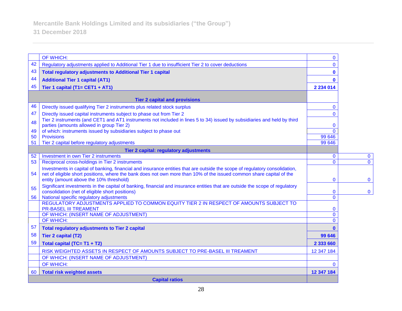|    | OF WHICH:                                                                                                                                                                                                                                           | $\mathbf{0}$   |                |
|----|-----------------------------------------------------------------------------------------------------------------------------------------------------------------------------------------------------------------------------------------------------|----------------|----------------|
| 42 | Regulatory adjustments applied to Additional Tier 1 due to insufficient Tier 2 to cover deductions                                                                                                                                                  | $\Omega$       |                |
| 43 | <b>Total regulatory adjustments to Additional Tier 1 capital</b>                                                                                                                                                                                    | $\mathbf{0}$   |                |
| 44 | <b>Additional Tier 1 capital (AT1)</b>                                                                                                                                                                                                              | $\mathbf{0}$   |                |
| 45 | Tier 1 capital (T1= CET1 + AT1)                                                                                                                                                                                                                     | 2 2 3 4 0 1 4  |                |
|    |                                                                                                                                                                                                                                                     |                |                |
| 46 | <b>Tier 2 capital and provisions</b>                                                                                                                                                                                                                |                |                |
| 47 | Directly issued qualifying Tier 2 instruments plus related stock surplus                                                                                                                                                                            | $\mathbf{0}$   |                |
|    | Directly issued capital instruments subject to phase out from Tier 2<br>Tier 2 instruments (and CET1 and AT1 instruments not included in lines 5 to 34) issued by subsidiaries and held by third                                                    | $\overline{0}$ |                |
| 48 | parties (amounts allowed in group Tier 2)                                                                                                                                                                                                           | $\bf{0}$       |                |
| 49 | of which: instruments issued by subsidiaries subject to phase out                                                                                                                                                                                   | $\Omega$       |                |
| 50 | <b>Provisions</b>                                                                                                                                                                                                                                   | 99 646         |                |
| 51 | Tier 2 capital before regulatory adjustments                                                                                                                                                                                                        | 99 646         |                |
|    | Tier 2 capital: regulatory adjustments                                                                                                                                                                                                              |                |                |
| 52 | Investment in own Tier 2 instruments                                                                                                                                                                                                                | $\mathbf{0}$   | $\mathbf{0}$   |
| 53 | Reciprocal cross-holdings in Tier 2 instruments                                                                                                                                                                                                     | $\Omega$       | $\overline{0}$ |
| 54 | Investments in capital of banking, financial and insurance entities that are outside the scope of regulatory consolidation,<br>net of eligible short positions, where the bank does not own more than 10% of the issued common share capital of the |                |                |
|    | entity (amount above the 10% threshold)                                                                                                                                                                                                             | $\mathbf{0}$   | $\mathbf{0}$   |
| 55 | Significant investments in the capital of banking, financial and insurance entities that are outside the scope of regulatory                                                                                                                        |                |                |
|    | consolidation (net of eligible short positions)                                                                                                                                                                                                     | $\mathbf{0}$   | $\bf{0}$       |
| 56 | National specific regulatory adjustments                                                                                                                                                                                                            | $\mathbf 0$    |                |
|    | REGULATORY ADJUSTMENTS APPLIED TO COMMON EQUITY TIER 2 IN RESPECT OF AMOUNTS SUBJECT TO<br><b>PR-BASEL III TREAMENT</b>                                                                                                                             | $\bf{0}$       |                |
|    | OF WHICH: (INSERT NAME OF ADJUSTMENT)                                                                                                                                                                                                               | $\mathbf{0}$   |                |
|    | <b>OF WHICH:</b>                                                                                                                                                                                                                                    | $\Omega$       |                |
| 57 | <b>Total regulatory adjustments to Tier 2 capital</b>                                                                                                                                                                                               | $\mathbf{0}$   |                |
| 58 | Tier 2 capital (T2)                                                                                                                                                                                                                                 | 99 646         |                |
| 59 | Total capital (TC= T1 + T2)                                                                                                                                                                                                                         | 2 333 660      |                |
|    | RISK WEIGHTED ASSETS IN RESPECT OF AMOUNTS SUBJECT TO PRE-BASEL III TREAMENT                                                                                                                                                                        | 12 347 184     |                |
|    | OF WHICH: (INSERT NAME OF ADJUSTMENT)                                                                                                                                                                                                               |                |                |
|    | OF WHICH:                                                                                                                                                                                                                                           | $\mathbf{0}$   |                |
| 60 | <b>Total risk weighted assets</b>                                                                                                                                                                                                                   | 12 347 184     |                |
|    | <b>Capital ratios</b>                                                                                                                                                                                                                               |                |                |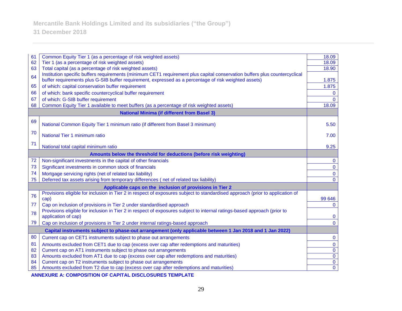| 61 | Common Equity Tier 1 (as a percentage of risk weighted assets)                                                                        | 18.09          |
|----|---------------------------------------------------------------------------------------------------------------------------------------|----------------|
| 62 | Tier 1 (as a percentage of risk weighted assets)                                                                                      | 18.09          |
| 63 | Total capital (as a percentage of risk weighted assets)                                                                               | 18.90          |
| 64 | Institution specific buffers requirements (minimum CET1 requirement plus capital conservation buffers plus countercyclical            |                |
|    | buffer requirements plus G-SIB buffer requirement, expressed as a percentage of risk weighted assets)                                 | 1.875          |
| 65 | of which: capital conservation buffer requirement                                                                                     | 1.875          |
| 66 | of which: bank specific countercyclical buffer requirement                                                                            | $\Omega$       |
| 67 | of which: G-SIB buffer requirement                                                                                                    | $\Omega$       |
| 68 | Common Equity Tier 1 available to meet buffers (as a percentage of risk weighted assets)                                              | 18.09          |
|    | <b>National Minima (if different from Basel 3)</b>                                                                                    |                |
| 69 | National Common Equity Tier 1 minimum ratio (if different from Basel 3 minimum)                                                       | 5.50           |
|    |                                                                                                                                       |                |
| 70 | National Tier 1 minimum ratio                                                                                                         | 7.00           |
| 71 | National total capital minimum ratio                                                                                                  | 9.25           |
|    |                                                                                                                                       |                |
|    | Amounts below the threshold for deductions (before risk weighting)<br>Non-significant investments in the capital of other financials  |                |
| 72 |                                                                                                                                       | $\mathbf 0$    |
| 73 | Significant investments in common stock of financials                                                                                 | $\mathbf{0}$   |
| 74 | Mortgage servicing rights (net of related tax liability)                                                                              | $\mathbf 0$    |
| 75 | Deferred tax assets arising from temporary differences (net of related tax liability)                                                 | $\mathbf{0}$   |
|    | Applicable caps on the inclusion of provisions in Tier 2                                                                              |                |
| 76 | Provisions eligible for inclusion in Tier 2 in respect of exposures subject to standardised approach (prior to application of<br>cap) | 99 646         |
| 77 | Cap on inclusion of provisions in Tier 2 under standardised approach                                                                  | $\mathbf{0}$   |
|    | Provisions eligible for inclusion in Tier 2 in respect of exposures subject to internal ratings-based approach (prior to              |                |
| 78 | application of cap)                                                                                                                   | $\mathbf{0}$   |
| 79 | Cap on inclusion of provisions in Tier 2 under internal ratings-based approach                                                        | $\Omega$       |
|    | Capital instruments subject to phase-out arrangement (only applicable between 1 Jan 2018 and 1 Jan 2022)                              |                |
| 80 | Current cap on CET1 instruments subject to phase out arrangements                                                                     | 0              |
| 81 | Amounts excluded from CET1 due to cap (excess over cap after redemptions and maturities)                                              | $\mathbf 0$    |
| 82 | Current cap on AT1 instruments subject to phase out arrangements                                                                      | $\mathbf 0$    |
| 83 | Amounts excluded from AT1 due to cap (excess over cap after redemptions and maturities)                                               | $\overline{0}$ |
| 84 | Current cap on T2 instruments subject to phase out arrangements                                                                       | $\mathbf 0$    |
| 85 | Amounts excluded from T2 due to cap (excess over cap after redemptions and maturities)                                                | $\mathbf 0$    |

**ANNEXURE A: COMPOSITION OF CAPITAL DISCLOSURES TEMPLATE**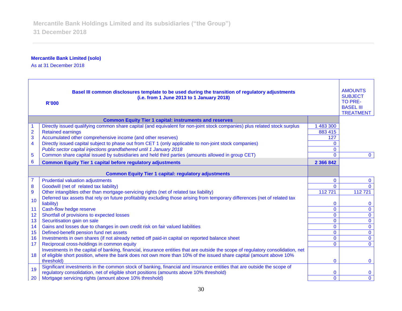### **Mercantile Bank Limited (solo)**

As at 31 December 2018

| Basel III common disclosures template to be used during the transition of regulatory adjustments<br>(i.e. from 1 June 2013 to 1 January 2018)<br><b>R'000</b> |                                                                                                                                                                                                                                                         |              |              |
|---------------------------------------------------------------------------------------------------------------------------------------------------------------|---------------------------------------------------------------------------------------------------------------------------------------------------------------------------------------------------------------------------------------------------------|--------------|--------------|
|                                                                                                                                                               | <b>Common Equity Tier 1 capital: instruments and reserves</b>                                                                                                                                                                                           |              |              |
|                                                                                                                                                               | Directly issued qualifying common share capital (and equivalent for non-joint stock companies) plus related stock surplus                                                                                                                               | 1 483 300    |              |
| $\frac{2}{3}$                                                                                                                                                 | <b>Retained earnings</b>                                                                                                                                                                                                                                | 883 415      |              |
|                                                                                                                                                               | Accumulated other comprehensive income (and other reserves)                                                                                                                                                                                             | 127          |              |
| $\overline{\mathbf{4}}$                                                                                                                                       | Directly issued capital subject to phase out from CET 1 (only applicable to non-joint stock companies)                                                                                                                                                  | 0            |              |
|                                                                                                                                                               | Public sector capital injections grandfathered until 1 January 2018                                                                                                                                                                                     | $\mathbf{0}$ |              |
| $\overline{5}$                                                                                                                                                | Common share capital issued by subsidiaries and held third parties (amounts allowed in group CET)                                                                                                                                                       | $\mathbf{0}$ | $\mathbf{0}$ |
| $6\phantom{1}6$                                                                                                                                               | <b>Common Equity Tier 1 capital before regulatory adjustments</b>                                                                                                                                                                                       | 2 366 842    |              |
| <b>Common Equity Tier 1 capital: regulatory adjustments</b>                                                                                                   |                                                                                                                                                                                                                                                         |              |              |
| $\overline{7}$                                                                                                                                                | <b>Prudential valuation adjustments</b>                                                                                                                                                                                                                 | 0            | $\mathbf{0}$ |
| 8                                                                                                                                                             | Goodwill (net of related tax liability)                                                                                                                                                                                                                 | $\Omega$     | $\Omega$     |
| 9                                                                                                                                                             | Other intangibles other than mortgage-servicing rights (net of related tax liability)                                                                                                                                                                   | 112 721      | 112721       |
| 10                                                                                                                                                            | Deferred tax assets that rely on future profitability excluding those arising from temporary differences (net of related tax<br>liability)                                                                                                              | 0            | $\mathbf{0}$ |
| 11                                                                                                                                                            | Cash-flow hedge reserve                                                                                                                                                                                                                                 | 0            | $\mathbf{0}$ |
| 12                                                                                                                                                            | Shortfall of provisions to expected losses                                                                                                                                                                                                              | $\mathbf 0$  | $\mathbf 0$  |
| 13                                                                                                                                                            | Securitisation gain on sale                                                                                                                                                                                                                             | $\mathbf{0}$ | $\mathbf 0$  |
| 14                                                                                                                                                            | Gains and losses due to changes in own credit risk on fair valued liabilities                                                                                                                                                                           | $\mathbf{0}$ | $\mathbf 0$  |
| 15                                                                                                                                                            | Defined-benefit pension fund net assets                                                                                                                                                                                                                 | $\mathbf 0$  | $\mathbf 0$  |
| 16                                                                                                                                                            | Investments in own shares (if not already netted off paid-in capital on reported balance sheet                                                                                                                                                          | $\mathbf{0}$ | $\mathbf 0$  |
| 17                                                                                                                                                            | Reciprocal cross-holdings in common equity                                                                                                                                                                                                              | $\mathbf{0}$ | $\mathbf{0}$ |
| 18                                                                                                                                                            | Investments in the capital of banking, financial, insurance entities that are outside the scope of regulatory consolidation, net<br>of eligible short position, where the bank does not own more than 10% of the issued share capital (amount above 10% |              |              |
|                                                                                                                                                               | threshold)                                                                                                                                                                                                                                              | $\mathbf{0}$ | $\mathbf{0}$ |
| 19                                                                                                                                                            | Significant investments in the common stock of banking, financial and insurance entities that are outside the scope of<br>regulatory consolidation, net of eligible short positions (amounts above 10% threshold)                                       | 0            | $\bf{0}$     |
| 20                                                                                                                                                            | Mortgage servicing rights (amount above 10% threshold)                                                                                                                                                                                                  | $\Omega$     | $\mathbf{0}$ |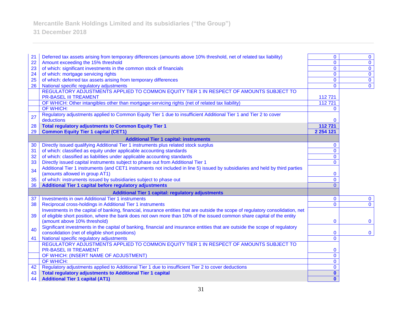**Mercantile Bank Holdings Limited and its subsidiaries ("the Group")**

| 21 | Deferred tax assets arising from temporary differences (amounts above 10% threshold, net of related tax liability)               | $\mathbf{0}$   | $\bf{0}$     |
|----|----------------------------------------------------------------------------------------------------------------------------------|----------------|--------------|
| 22 | Amount exceeding the 15% threshold                                                                                               | $\mathbf 0$    | $\mathbf 0$  |
| 23 | of which: significant investments in the common stock of financials                                                              | $\mathbf 0$    | $\pmb{0}$    |
| 24 | of which: mortgage servicing rights                                                                                              | $\mathbf 0$    | $\mathbf 0$  |
| 25 | of which: deferred tax assets arising from temporary differences                                                                 | $\overline{0}$ | $\pmb{0}$    |
| 26 | National specific regulatory adjustments                                                                                         | $\mathbf{0}$   | $\mathbf 0$  |
|    | REGULATORY ADJUSTMENTS APPLIED TO COMMON EQUITY TIER 1 IN RESPECT OF AMOUNTS SUBJECT TO<br><b>PR-BASEL III TREAMENT</b>          |                |              |
|    |                                                                                                                                  | 112721         |              |
|    | OF WHICH: Other intangibles other than mortgage-servicing rights (net of related tax liability)                                  | 112721         |              |
|    | <b>OF WHICH:</b>                                                                                                                 | $\mathbf{0}$   |              |
| 27 | Regulatory adjustments applied to Common Equity Tier 1 due to insufficient Additional Tier 1 and Tier 2 to cover<br>deductions   | $\mathbf 0$    |              |
| 28 | <b>Total regulatory adjustments to Common Equity Tier 1</b>                                                                      | 112721         |              |
| 29 | <b>Common Equity Tier 1 capital (CET1)</b>                                                                                       | 2 2 5 4 1 2 1  |              |
|    | <b>Additional Tier 1 capital: instruments</b>                                                                                    |                |              |
| 30 | Directly issued qualifying Additional Tier 1 instruments plus related stock surplus                                              | $\mathbf 0$    |              |
| 31 | of which: classified as equity under applicable accounting standards                                                             | $\mathbf{0}$   |              |
| 32 | of which: classified as liabilities under applicable accounting standards                                                        | $\bf{0}$       |              |
| 33 | Directly issued capital instruments subject to phase out from Additional Tier 1                                                  | $\mathbf{0}$   |              |
|    | Additional Tier 1 instruments (and CET1 instruments not included in line 5) issued by subsidiaries and held by third parties     |                |              |
| 34 | (amounts allowed in group AT1)                                                                                                   | $\bf{0}$       |              |
| 35 | of which: instruments issued by subsidiaries subject to phase out                                                                | $\overline{0}$ |              |
| 36 | Additional Tier 1 capital before regulatory adjustments                                                                          | $\Omega$       |              |
|    | <b>Additional Tier 1 capital: regulatory adjustments</b>                                                                         |                |              |
| 37 | <b>Investments in own Additional Tier 1 instruments</b>                                                                          | 0              | $\bf{0}$     |
| 38 | Reciprocal cross-holdings in Additional Tier 1 instruments                                                                       | $\mathbf{0}$   | $\mathbf{0}$ |
|    | Investments in the capital of banking, financial, insurance entities that are outside the scope of regulatory consolidation, net |                |              |
| 39 | of eligible short position, where the bank does not own more than 10% of the issued common share capital of the entity           |                |              |
|    | (amount above 10% threshold)                                                                                                     | $\mathbf 0$    | $\mathbf{0}$ |
| 40 | Significant investments in the capital of banking, financial and insurance entities that are outside the scope of regulatory     |                |              |
|    | consolidation (net of eligible short positions)                                                                                  | $\pmb{0}$      | $\mathbf 0$  |
| 41 | National specific regulatory adjustments                                                                                         | $\mathbf 0$    |              |
|    | REGULATORY ADJUSTMENTS APPLIED TO COMMON EQUITY TIER 1 IN RESPECT OF AMOUNTS SUBJECT TO                                          |                |              |
|    | <b>PR-BASEL III TREAMENT</b>                                                                                                     | 0              |              |
|    | OF WHICH: (INSERT NAME OF ADJUSTMENT)                                                                                            | $\bf{0}$       |              |
|    | OF WHICH:                                                                                                                        | $\bf{0}$       |              |
| 42 | Regulatory adjustments applied to Additional Tier 1 due to insufficient Tier 2 to cover deductions                               | $\mathbf 0$    |              |
| 43 | <b>Total regulatory adjustments to Additional Tier 1 capital</b>                                                                 | $\mathbf 0$    |              |
| 44 | <b>Additional Tier 1 capital (AT1)</b>                                                                                           | $\mathbf{0}$   |              |
|    |                                                                                                                                  |                |              |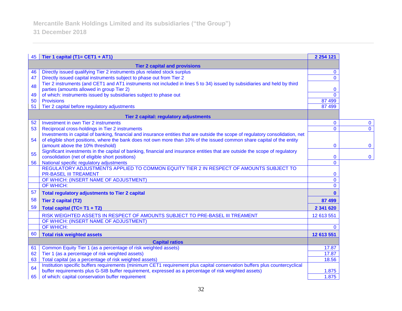| 45                                   | Tier 1 capital (T1= CET1 + AT1)                                                                                                                                                                                                                            | 2 2 5 4 1 2 1 |                |
|--------------------------------------|------------------------------------------------------------------------------------------------------------------------------------------------------------------------------------------------------------------------------------------------------------|---------------|----------------|
| <b>Tier 2 capital and provisions</b> |                                                                                                                                                                                                                                                            |               |                |
| 46                                   | Directly issued qualifying Tier 2 instruments plus related stock surplus                                                                                                                                                                                   | $\mathbf{0}$  |                |
| 47                                   | Directly issued capital instruments subject to phase out from Tier 2                                                                                                                                                                                       | $\Omega$      |                |
| 48                                   | Tier 2 instruments (and CET1 and AT1 instruments not included in lines 5 to 34) issued by subsidiaries and held by third                                                                                                                                   |               |                |
|                                      | parties (amounts allowed in group Tier 2)                                                                                                                                                                                                                  | $\mathbf 0$   |                |
| 49                                   | of which: instruments issued by subsidiaries subject to phase out                                                                                                                                                                                          | $\Omega$      |                |
| 50                                   | <b>Provisions</b>                                                                                                                                                                                                                                          | 87 499        |                |
| 51                                   | Tier 2 capital before regulatory adjustments                                                                                                                                                                                                               | 87 499        |                |
|                                      | Tier 2 capital: regulatory adjustments                                                                                                                                                                                                                     |               |                |
| 52                                   | Investment in own Tier 2 instruments                                                                                                                                                                                                                       | $\mathbf{0}$  | $\mathbf 0$    |
| 53                                   | Reciprocal cross-holdings in Tier 2 instruments                                                                                                                                                                                                            | $\Omega$      | $\overline{0}$ |
| 54                                   | Investments in capital of banking, financial and insurance entities that are outside the scope of regulatory consolidation, net<br>of eligible short positions, where the bank does not own more than 10% of the issued common share capital of the entity |               |                |
|                                      | (amount above the 10% threshold)                                                                                                                                                                                                                           | $\mathbf{0}$  | $\mathbf 0$    |
|                                      | Significant investments in the capital of banking, financial and insurance entities that are outside the scope of regulatory                                                                                                                               |               |                |
| 55                                   | consolidation (net of eligible short positions)                                                                                                                                                                                                            | $\mathbf 0$   | $\bf{0}$       |
| 56                                   | National specific regulatory adjustments                                                                                                                                                                                                                   | $\mathbf 0$   |                |
|                                      | REGULATORY ADJUSTMENTS APPLIED TO COMMON EQUITY TIER 2 IN RESPECT OF AMOUNTS SUBJECT TO                                                                                                                                                                    |               |                |
|                                      | <b>PR-BASEL III TREAMENT</b>                                                                                                                                                                                                                               | $\mathbf 0$   |                |
|                                      | OF WHICH: (INSERT NAME OF ADJUSTMENT)                                                                                                                                                                                                                      | $\Omega$      |                |
|                                      | <b>OF WHICH:</b>                                                                                                                                                                                                                                           | $\Omega$      |                |
| 57                                   | <b>Total regulatory adjustments to Tier 2 capital</b>                                                                                                                                                                                                      | $\bf{0}$      |                |
| 58                                   | <b>Tier 2 capital (T2)</b>                                                                                                                                                                                                                                 | 87 499        |                |
| 59                                   | Total capital (TC= T1 + T2)                                                                                                                                                                                                                                | 2 341 620     |                |
|                                      | RISK WEIGHTED ASSETS IN RESPECT OF AMOUNTS SUBJECT TO PRE-BASEL III TREAMENT                                                                                                                                                                               | 12 613 551    |                |
|                                      | OF WHICH: (INSERT NAME OF ADJUSTMENT)                                                                                                                                                                                                                      |               |                |
|                                      | <b>OF WHICH:</b>                                                                                                                                                                                                                                           | $\Omega$      |                |
| 60                                   | <b>Total risk weighted assets</b>                                                                                                                                                                                                                          | 12 613 551    |                |
| <b>Capital ratios</b>                |                                                                                                                                                                                                                                                            |               |                |
| 61                                   | Common Equity Tier 1 (as a percentage of risk weighted assets)                                                                                                                                                                                             | 17.87         |                |
| 62                                   | Tier 1 (as a percentage of risk weighted assets)                                                                                                                                                                                                           | 17.87         |                |
| 63                                   | Total capital (as a percentage of risk weighted assets)                                                                                                                                                                                                    | 18.56         |                |
| 64                                   | Institution specific buffers requirements (minimum CET1 requirement plus capital conservation buffers plus countercyclical                                                                                                                                 |               |                |
|                                      | buffer requirements plus G-SIB buffer requirement, expressed as a percentage of risk weighted assets)                                                                                                                                                      | 1.875         |                |
| 65                                   | of which: capital conservation buffer requirement                                                                                                                                                                                                          | 1.875         |                |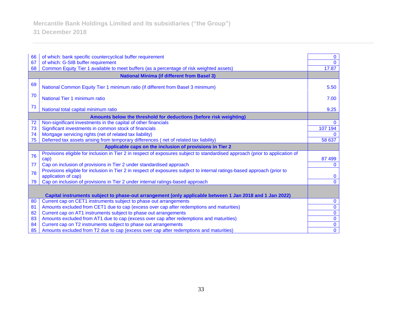| 66                                                                                                       | of which: bank specific countercyclical buffer requirement                                                                                      | $\mathbf{0}$   |  |
|----------------------------------------------------------------------------------------------------------|-------------------------------------------------------------------------------------------------------------------------------------------------|----------------|--|
| 67                                                                                                       | of which: G-SIB buffer requirement                                                                                                              | $\Omega$       |  |
| 68                                                                                                       | Common Equity Tier 1 available to meet buffers (as a percentage of risk weighted assets)                                                        | 17.87          |  |
|                                                                                                          | <b>National Minima (if different from Basel 3)</b>                                                                                              |                |  |
| 69                                                                                                       | National Common Equity Tier 1 minimum ratio (if different from Basel 3 minimum)                                                                 | 5.50           |  |
| 70                                                                                                       | National Tier 1 minimum ratio                                                                                                                   | 7.00           |  |
| 71                                                                                                       | National total capital minimum ratio                                                                                                            | 9.25           |  |
|                                                                                                          | Amounts below the threshold for deductions (before risk weighting)                                                                              |                |  |
| 72                                                                                                       | Non-significant investments in the capital of other financials                                                                                  | $\Omega$       |  |
| 73                                                                                                       | Significant investments in common stock of financials                                                                                           | 107 194        |  |
| 74                                                                                                       | Mortgage servicing rights (net of related tax liability)                                                                                        |                |  |
| 75                                                                                                       | Deferred tax assets arising from temporary differences (net of related tax liability)                                                           | 58 637         |  |
| Applicable caps on the inclusion of provisions in Tier 2                                                 |                                                                                                                                                 |                |  |
| 76                                                                                                       | Provisions eligible for inclusion in Tier 2 in respect of exposures subject to standardised approach (prior to application of<br>cap)           | 87 499         |  |
| 77                                                                                                       | Cap on inclusion of provisions in Tier 2 under standardised approach                                                                            | $\Omega$       |  |
| 78                                                                                                       | Provisions eligible for inclusion in Tier 2 in respect of exposures subject to internal ratings-based approach (prior to<br>application of cap) | $\mathbf{0}$   |  |
| 79                                                                                                       | Cap on inclusion of provisions in Tier 2 under internal ratings-based approach                                                                  | $\Omega$       |  |
|                                                                                                          |                                                                                                                                                 |                |  |
| Capital instruments subject to phase-out arrangement (only applicable between 1 Jan 2018 and 1 Jan 2022) |                                                                                                                                                 |                |  |
| 80                                                                                                       | Current cap on CET1 instruments subject to phase out arrangements                                                                               | $\mathbf{0}$   |  |
| 81                                                                                                       | Amounts excluded from CET1 due to cap (excess over cap after redemptions and maturities)                                                        | $\mathbf 0$    |  |
| 82                                                                                                       | Current cap on AT1 instruments subject to phase out arrangements                                                                                | $\mathbf{0}$   |  |
| 83                                                                                                       | Amounts excluded from AT1 due to cap (excess over cap after redemptions and maturities)                                                         | $\bf{0}$       |  |
| 84                                                                                                       | Current cap on T2 instruments subject to phase out arrangements                                                                                 | $\bf{0}$       |  |
| 85                                                                                                       | Amounts excluded from T2 due to cap (excess over cap after redemptions and maturities)                                                          | $\overline{0}$ |  |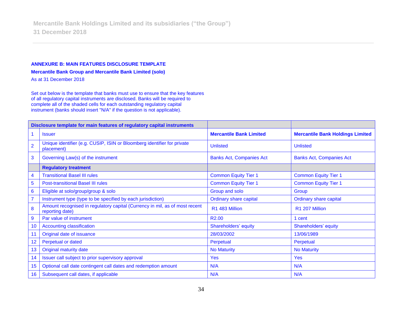#### **ANNEXURE B: MAIN FEATURES DISCLOSURE TEMPLATE**

**Mercantile Bank Group and Mercantile Bank Limited (solo)**

As at 31 December 2018

Set out below is the template that banks must use to ensure that the key features of all regulatory capital instruments are disclosed. Banks will be required to complete all of the shaded cells for each outstanding regulatory capital instrument (banks should insert "N/A" if the question is not applicable).

| Disclosure template for main features of regulatory capital instruments |                                                                                                |                                 |                                         |
|-------------------------------------------------------------------------|------------------------------------------------------------------------------------------------|---------------------------------|-----------------------------------------|
|                                                                         | <b>Issuer</b>                                                                                  | <b>Mercantile Bank Limited</b>  | <b>Mercantile Bank Holdings Limited</b> |
| $\overline{2}$                                                          | Unique identifier (e.g. CUSIP, ISIN or Bloomberg identifier for private<br>placement)          | <b>Unlisted</b>                 | <b>Unlisted</b>                         |
| 3                                                                       | Governing Law(s) of the instrument                                                             | <b>Banks Act, Companies Act</b> | <b>Banks Act, Companies Act</b>         |
|                                                                         | <b>Regulatory treatment</b>                                                                    |                                 |                                         |
| 4                                                                       | <b>Transitional Basel III rules</b>                                                            | <b>Common Equity Tier 1</b>     | <b>Common Equity Tier 1</b>             |
| 5                                                                       | <b>Post-transitional Basel III rules</b>                                                       | <b>Common Equity Tier 1</b>     | <b>Common Equity Tier 1</b>             |
| $6\phantom{1}$                                                          | Eligible at solo/group/group & solo                                                            | Group and solo                  | Group                                   |
| $\overline{7}$                                                          | Instrument type (type to be specified by each jurisdiction)                                    | <b>Ordinary share capital</b>   | <b>Ordinary share capital</b>           |
| 8                                                                       | Amount recognised in regulatory capital (Currency in mil, as of most recent<br>reporting date) | R1 483 Million                  | R1 207 Million                          |
| $\overline{9}$                                                          | Par value of instrument                                                                        | R <sub>2.00</sub>               | 1 cent                                  |
| 10                                                                      | <b>Accounting classification</b>                                                               | Shareholders' equity            | Shareholders' equity                    |
| 11                                                                      | Original date of issuance                                                                      | 28/03/2002                      | 13/06/1989                              |
| 12                                                                      | Perpetual or dated                                                                             | Perpetual                       | Perpetual                               |
| 13                                                                      | Original maturity date                                                                         | <b>No Maturity</b>              | <b>No Maturity</b>                      |
| 14                                                                      | Issuer call subject to prior supervisory approval                                              | <b>Yes</b>                      | Yes                                     |
| 15                                                                      | Optional call date contingent call dates and redemption amount                                 | N/A                             | N/A                                     |
| 16                                                                      | Subsequent call dates, if applicable                                                           | N/A                             | N/A                                     |